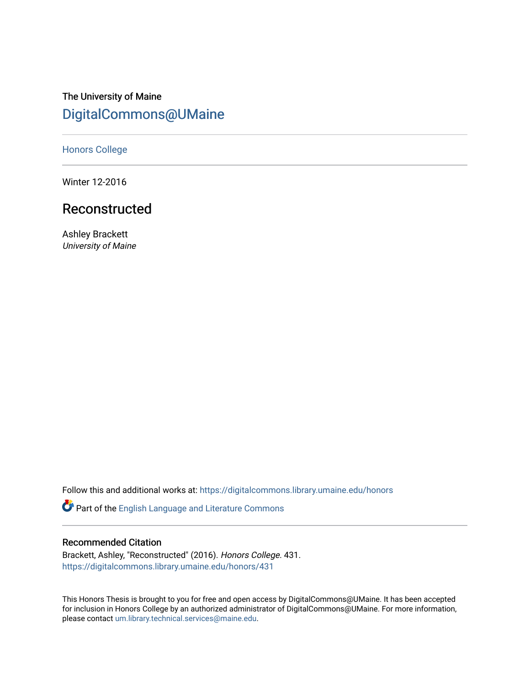# The University of Maine [DigitalCommons@UMaine](https://digitalcommons.library.umaine.edu/)

[Honors College](https://digitalcommons.library.umaine.edu/honors)

Winter 12-2016

## Reconstructed

Ashley Brackett University of Maine

Follow this and additional works at: [https://digitalcommons.library.umaine.edu/honors](https://digitalcommons.library.umaine.edu/honors?utm_source=digitalcommons.library.umaine.edu%2Fhonors%2F431&utm_medium=PDF&utm_campaign=PDFCoverPages) 

Part of the [English Language and Literature Commons](http://network.bepress.com/hgg/discipline/455?utm_source=digitalcommons.library.umaine.edu%2Fhonors%2F431&utm_medium=PDF&utm_campaign=PDFCoverPages)

#### Recommended Citation

Brackett, Ashley, "Reconstructed" (2016). Honors College. 431. [https://digitalcommons.library.umaine.edu/honors/431](https://digitalcommons.library.umaine.edu/honors/431?utm_source=digitalcommons.library.umaine.edu%2Fhonors%2F431&utm_medium=PDF&utm_campaign=PDFCoverPages) 

This Honors Thesis is brought to you for free and open access by DigitalCommons@UMaine. It has been accepted for inclusion in Honors College by an authorized administrator of DigitalCommons@UMaine. For more information, please contact [um.library.technical.services@maine.edu.](mailto:um.library.technical.services@maine.edu)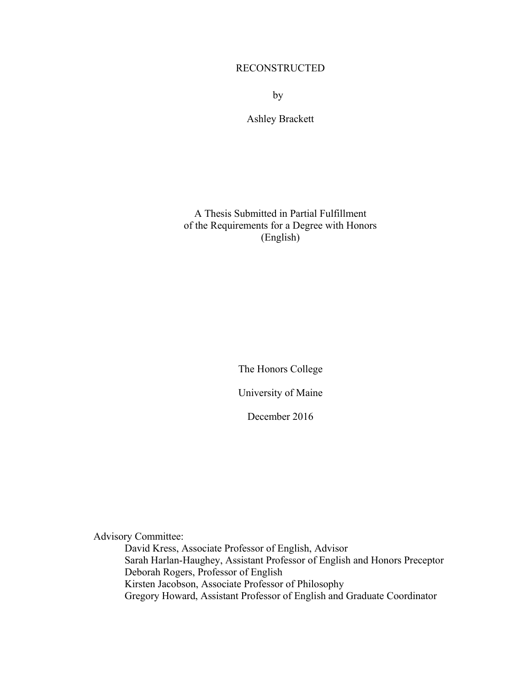### RECONSTRUCTED

by

Ashley Brackett

A Thesis Submitted in Partial Fulfillment of the Requirements for a Degree with Honors (English)

The Honors College

University of Maine

December 2016

Advisory Committee:

David Kress, Associate Professor of English, Advisor Sarah Harlan-Haughey, Assistant Professor of English and Honors Preceptor Deborah Rogers, Professor of English Kirsten Jacobson, Associate Professor of Philosophy Gregory Howard, Assistant Professor of English and Graduate Coordinator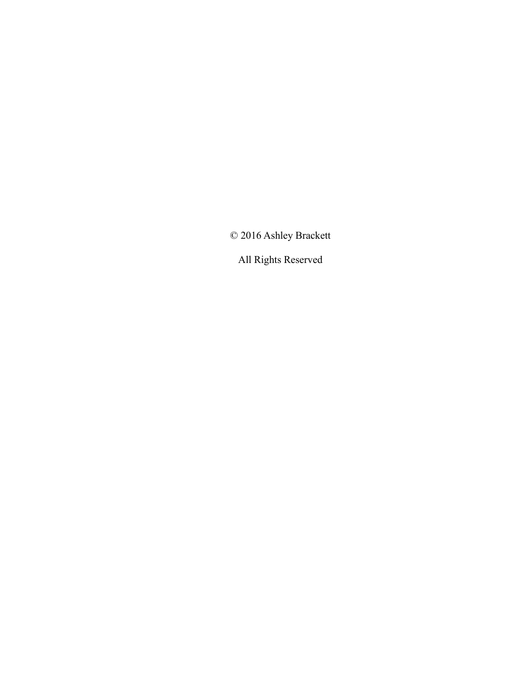© 2016 Ashley Brackett

All Rights Reserved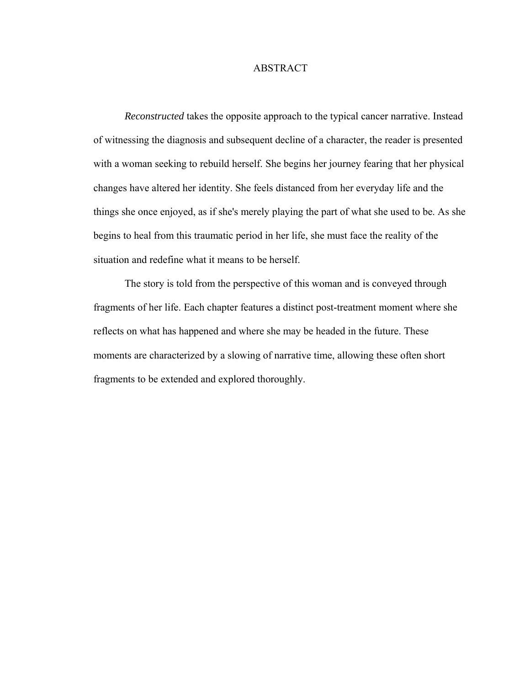#### ABSTRACT

*Reconstructed* takes the opposite approach to the typical cancer narrative. Instead of witnessing the diagnosis and subsequent decline of a character, the reader is presented with a woman seeking to rebuild herself. She begins her journey fearing that her physical changes have altered her identity. She feels distanced from her everyday life and the things she once enjoyed, as if she's merely playing the part of what she used to be. As she begins to heal from this traumatic period in her life, she must face the reality of the situation and redefine what it means to be herself.

The story is told from the perspective of this woman and is conveyed through fragments of her life. Each chapter features a distinct post-treatment moment where she reflects on what has happened and where she may be headed in the future. These moments are characterized by a slowing of narrative time, allowing these often short fragments to be extended and explored thoroughly.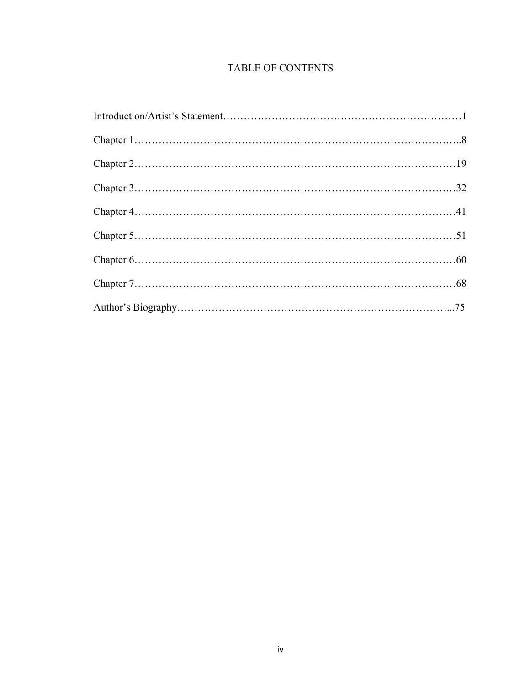### TABLE OF CONTENTS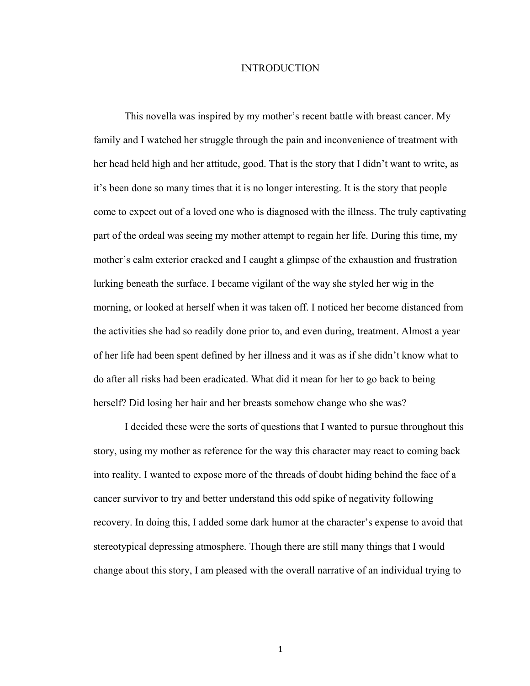#### INTRODUCTION

This novella was inspired by my mother's recent battle with breast cancer. My family and I watched her struggle through the pain and inconvenience of treatment with her head held high and her attitude, good. That is the story that I didn't want to write, as it's been done so many times that it is no longer interesting. It is the story that people come to expect out of a loved one who is diagnosed with the illness. The truly captivating part of the ordeal was seeing my mother attempt to regain her life. During this time, my mother's calm exterior cracked and I caught a glimpse of the exhaustion and frustration lurking beneath the surface. I became vigilant of the way she styled her wig in the morning, or looked at herself when it was taken off. I noticed her become distanced from the activities she had so readily done prior to, and even during, treatment. Almost a year of her life had been spent defined by her illness and it was as if she didn't know what to do after all risks had been eradicated. What did it mean for her to go back to being herself? Did losing her hair and her breasts somehow change who she was?

I decided these were the sorts of questions that I wanted to pursue throughout this story, using my mother as reference for the way this character may react to coming back into reality. I wanted to expose more of the threads of doubt hiding behind the face of a cancer survivor to try and better understand this odd spike of negativity following recovery. In doing this, I added some dark humor at the character's expense to avoid that stereotypical depressing atmosphere. Though there are still many things that I would change about this story, I am pleased with the overall narrative of an individual trying to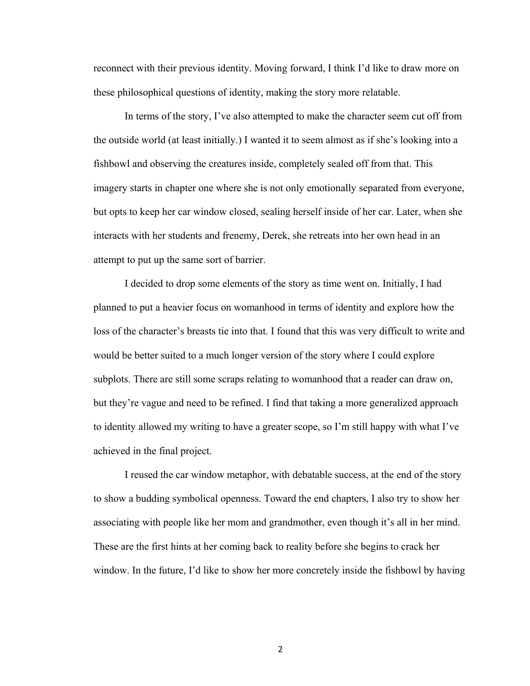reconnect with their previous identity. Moving forward, I think I'd like to draw more on these philosophical questions of identity, making the story more relatable.

In terms of the story, I've also attempted to make the character seem cut off from the outside world (at least initially.) I wanted it to seem almost as if she's looking into a fishbowl and observing the creatures inside, completely sealed off from that. This imagery starts in chapter one where she is not only emotionally separated from everyone, but opts to keep her car window closed, sealing herself inside of her car. Later, when she interacts with her students and frenemy, Derek, she retreats into her own head in an attempt to put up the same sort of barrier.

I decided to drop some elements of the story as time went on. Initially, I had planned to put a heavier focus on womanhood in terms of identity and explore how the loss of the character's breasts tie into that. I found that this was very difficult to write and would be better suited to a much longer version of the story where I could explore subplots. There are still some scraps relating to womanhood that a reader can draw on, but they're vague and need to be refined. I find that taking a more generalized approach to identity allowed my writing to have a greater scope, so I'm still happy with what I've achieved in the final project.

I reused the car window metaphor, with debatable success, at the end of the story to show a budding symbolical openness. Toward the end chapters, I also try to show her associating with people like her mom and grandmother, even though it's all in her mind. These are the first hints at her coming back to reality before she begins to crack her window. In the future, I'd like to show her more concretely inside the fishbowl by having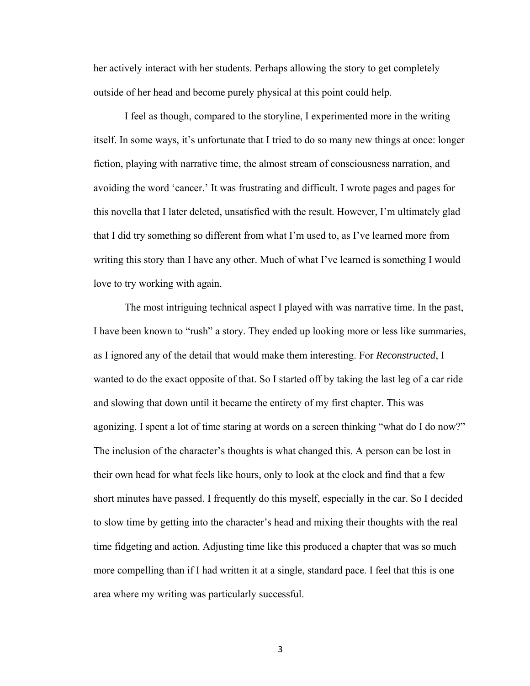her actively interact with her students. Perhaps allowing the story to get completely outside of her head and become purely physical at this point could help.

I feel as though, compared to the storyline, I experimented more in the writing itself. In some ways, it's unfortunate that I tried to do so many new things at once: longer fiction, playing with narrative time, the almost stream of consciousness narration, and avoiding the word 'cancer.' It was frustrating and difficult. I wrote pages and pages for this novella that I later deleted, unsatisfied with the result. However, I'm ultimately glad that I did try something so different from what I'm used to, as I've learned more from writing this story than I have any other. Much of what I've learned is something I would love to try working with again.

The most intriguing technical aspect I played with was narrative time. In the past, I have been known to "rush" a story. They ended up looking more or less like summaries, as I ignored any of the detail that would make them interesting. For *Reconstructed*, I wanted to do the exact opposite of that. So I started off by taking the last leg of a car ride and slowing that down until it became the entirety of my first chapter. This was agonizing. I spent a lot of time staring at words on a screen thinking "what do I do now?" The inclusion of the character's thoughts is what changed this. A person can be lost in their own head for what feels like hours, only to look at the clock and find that a few short minutes have passed. I frequently do this myself, especially in the car. So I decided to slow time by getting into the character's head and mixing their thoughts with the real time fidgeting and action. Adjusting time like this produced a chapter that was so much more compelling than if I had written it at a single, standard pace. I feel that this is one area where my writing was particularly successful.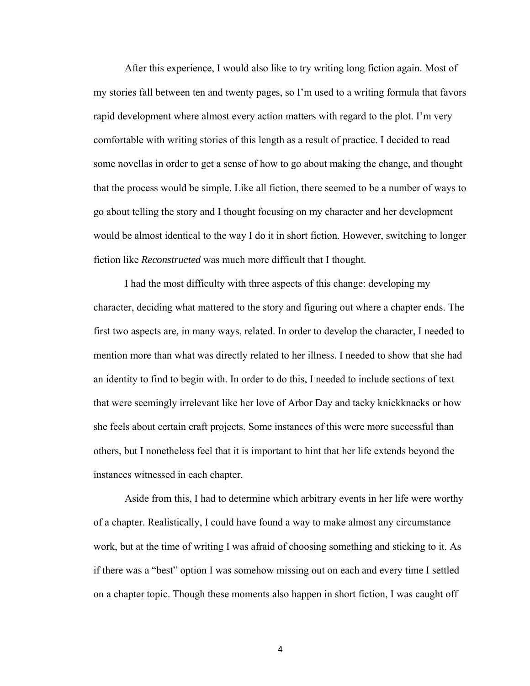After this experience, I would also like to try writing long fiction again. Most of my stories fall between ten and twenty pages, so I'm used to a writing formula that favors rapid development where almost every action matters with regard to the plot. I'm very comfortable with writing stories of this length as a result of practice. I decided to read some novellas in order to get a sense of how to go about making the change, and thought that the process would be simple. Like all fiction, there seemed to be a number of ways to go about telling the story and I thought focusing on my character and her development would be almost identical to the way I do it in short fiction. However, switching to longer fiction like *Reconstructed* was much more difficult that I thought.

I had the most difficulty with three aspects of this change: developing my character, deciding what mattered to the story and figuring out where a chapter ends. The first two aspects are, in many ways, related. In order to develop the character, I needed to mention more than what was directly related to her illness. I needed to show that she had an identity to find to begin with. In order to do this, I needed to include sections of text that were seemingly irrelevant like her love of Arbor Day and tacky knickknacks or how she feels about certain craft projects. Some instances of this were more successful than others, but I nonetheless feel that it is important to hint that her life extends beyond the instances witnessed in each chapter.

Aside from this, I had to determine which arbitrary events in her life were worthy of a chapter. Realistically, I could have found a way to make almost any circumstance work, but at the time of writing I was afraid of choosing something and sticking to it. As if there was a "best" option I was somehow missing out on each and every time I settled on a chapter topic. Though these moments also happen in short fiction, I was caught off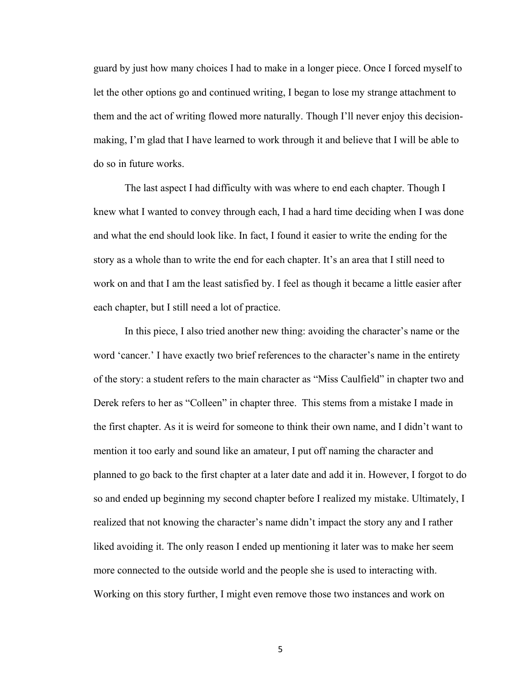guard by just how many choices I had to make in a longer piece. Once I forced myself to let the other options go and continued writing, I began to lose my strange attachment to them and the act of writing flowed more naturally. Though I'll never enjoy this decisionmaking, I'm glad that I have learned to work through it and believe that I will be able to do so in future works.

The last aspect I had difficulty with was where to end each chapter. Though I knew what I wanted to convey through each, I had a hard time deciding when I was done and what the end should look like. In fact, I found it easier to write the ending for the story as a whole than to write the end for each chapter. It's an area that I still need to work on and that I am the least satisfied by. I feel as though it became a little easier after each chapter, but I still need a lot of practice.

In this piece, I also tried another new thing: avoiding the character's name or the word 'cancer.' I have exactly two brief references to the character's name in the entirety of the story: a student refers to the main character as "Miss Caulfield" in chapter two and Derek refers to her as "Colleen" in chapter three. This stems from a mistake I made in the first chapter. As it is weird for someone to think their own name, and I didn't want to mention it too early and sound like an amateur, I put off naming the character and planned to go back to the first chapter at a later date and add it in. However, I forgot to do so and ended up beginning my second chapter before I realized my mistake. Ultimately, I realized that not knowing the character's name didn't impact the story any and I rather liked avoiding it. The only reason I ended up mentioning it later was to make her seem more connected to the outside world and the people she is used to interacting with. Working on this story further, I might even remove those two instances and work on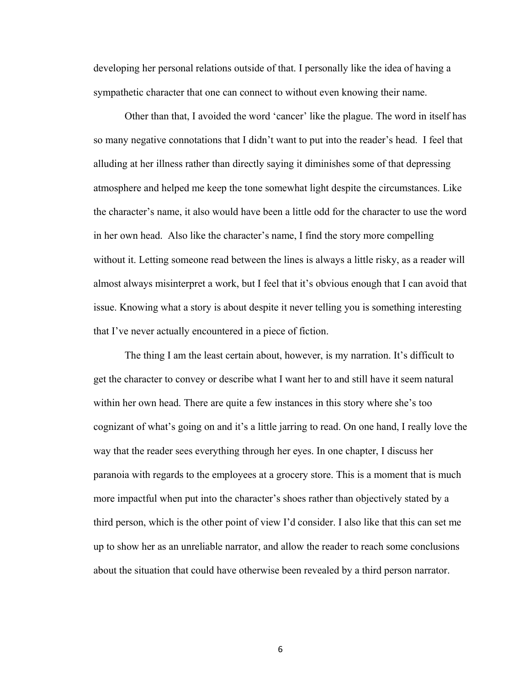developing her personal relations outside of that. I personally like the idea of having a sympathetic character that one can connect to without even knowing their name.

Other than that, I avoided the word 'cancer' like the plague. The word in itself has so many negative connotations that I didn't want to put into the reader's head. I feel that alluding at her illness rather than directly saying it diminishes some of that depressing atmosphere and helped me keep the tone somewhat light despite the circumstances. Like the character's name, it also would have been a little odd for the character to use the word in her own head. Also like the character's name, I find the story more compelling without it. Letting someone read between the lines is always a little risky, as a reader will almost always misinterpret a work, but I feel that it's obvious enough that I can avoid that issue. Knowing what a story is about despite it never telling you is something interesting that I've never actually encountered in a piece of fiction.

The thing I am the least certain about, however, is my narration. It's difficult to get the character to convey or describe what I want her to and still have it seem natural within her own head. There are quite a few instances in this story where she's too cognizant of what's going on and it's a little jarring to read. On one hand, I really love the way that the reader sees everything through her eyes. In one chapter, I discuss her paranoia with regards to the employees at a grocery store. This is a moment that is much more impactful when put into the character's shoes rather than objectively stated by a third person, which is the other point of view I'd consider. I also like that this can set me up to show her as an unreliable narrator, and allow the reader to reach some conclusions about the situation that could have otherwise been revealed by a third person narrator.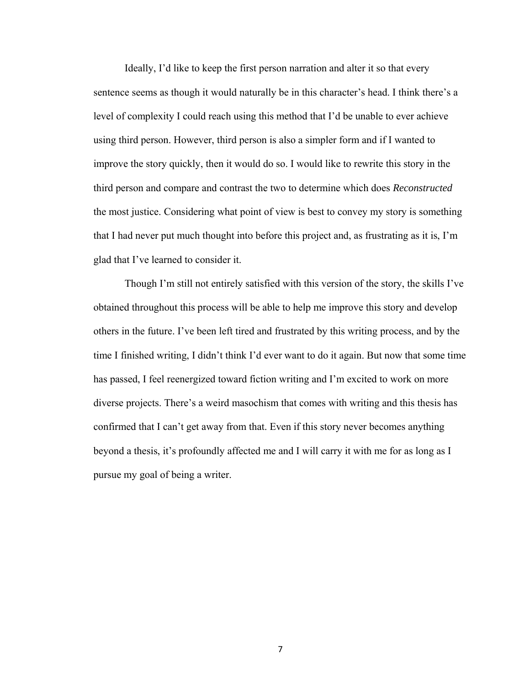Ideally, I'd like to keep the first person narration and alter it so that every sentence seems as though it would naturally be in this character's head. I think there's a level of complexity I could reach using this method that I'd be unable to ever achieve using third person. However, third person is also a simpler form and if I wanted to improve the story quickly, then it would do so. I would like to rewrite this story in the third person and compare and contrast the two to determine which does *Reconstructed* the most justice. Considering what point of view is best to convey my story is something that I had never put much thought into before this project and, as frustrating as it is, I'm glad that I've learned to consider it.

Though I'm still not entirely satisfied with this version of the story, the skills I've obtained throughout this process will be able to help me improve this story and develop others in the future. I've been left tired and frustrated by this writing process, and by the time I finished writing, I didn't think I'd ever want to do it again. But now that some time has passed, I feel reenergized toward fiction writing and I'm excited to work on more diverse projects. There's a weird masochism that comes with writing and this thesis has confirmed that I can't get away from that. Even if this story never becomes anything beyond a thesis, it's profoundly affected me and I will carry it with me for as long as I pursue my goal of being a writer.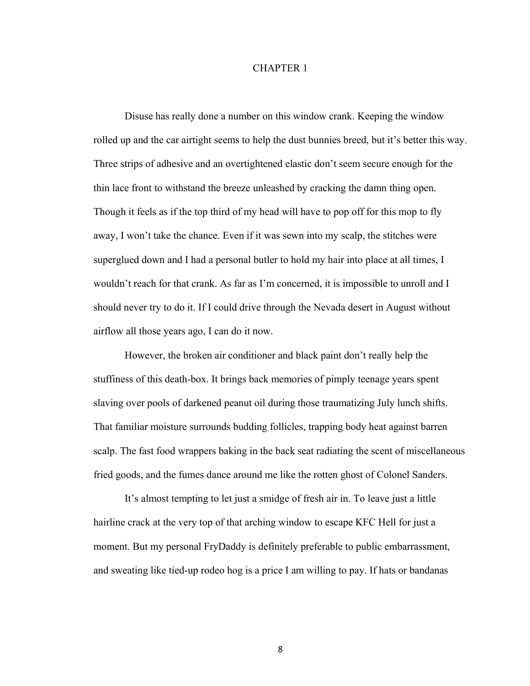#### CHAPTER 1

Disuse has really done a number on this window crank. Keeping the window rolled up and the car airtight seems to help the dust bunnies breed, but it's better this way. Three strips of adhesive and an overtightened elastic don't seem secure enough for the thin lace front to withstand the breeze unleashed by cracking the damn thing open. Though it feels as if the top third of my head will have to pop off for this mop to fly away, I won't take the chance. Even if it was sewn into my scalp, the stitches were superglued down and I had a personal butler to hold my hair into place at all times, I wouldn't reach for that crank. As far as I'm concerned, it is impossible to unroll and I should never try to do it. If I could drive through the Nevada desert in August without airflow all those years ago, I can do it now.

However, the broken air conditioner and black paint don't really help the stuffiness of this death-box. It brings back memories of pimply teenage years spent slaving over pools of darkened peanut oil during those traumatizing July lunch shifts. That familiar moisture surrounds budding follicles, trapping body heat against barren scalp. The fast food wrappers baking in the back seat radiating the scent of miscellaneous fried goods, and the fumes dance around me like the rotten ghost of Colonel Sanders.

It's almost tempting to let just a smidge of fresh air in. To leave just a little hairline crack at the very top of that arching window to escape KFC Hell for just a moment. But my personal FryDaddy is definitely preferable to public embarrassment, and sweating like tied-up rodeo hog is a price I am willing to pay. If hats or bandanas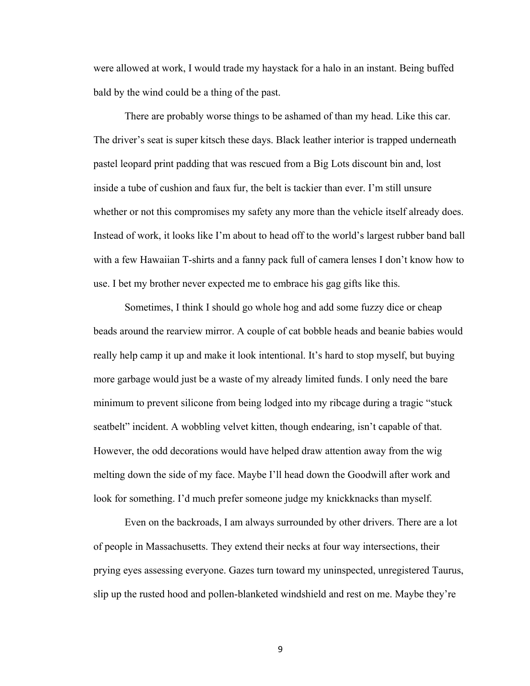were allowed at work, I would trade my haystack for a halo in an instant. Being buffed bald by the wind could be a thing of the past.

There are probably worse things to be ashamed of than my head. Like this car. The driver's seat is super kitsch these days. Black leather interior is trapped underneath pastel leopard print padding that was rescued from a Big Lots discount bin and, lost inside a tube of cushion and faux fur, the belt is tackier than ever. I'm still unsure whether or not this compromises my safety any more than the vehicle itself already does. Instead of work, it looks like I'm about to head off to the world's largest rubber band ball with a few Hawaiian T-shirts and a fanny pack full of camera lenses I don't know how to use. I bet my brother never expected me to embrace his gag gifts like this.

Sometimes, I think I should go whole hog and add some fuzzy dice or cheap beads around the rearview mirror. A couple of cat bobble heads and beanie babies would really help camp it up and make it look intentional. It's hard to stop myself, but buying more garbage would just be a waste of my already limited funds. I only need the bare minimum to prevent silicone from being lodged into my ribcage during a tragic "stuck seatbelt" incident. A wobbling velvet kitten, though endearing, isn't capable of that. However, the odd decorations would have helped draw attention away from the wig melting down the side of my face. Maybe I'll head down the Goodwill after work and look for something. I'd much prefer someone judge my knickknacks than myself.

Even on the backroads, I am always surrounded by other drivers. There are a lot of people in Massachusetts. They extend their necks at four way intersections, their prying eyes assessing everyone. Gazes turn toward my uninspected, unregistered Taurus, slip up the rusted hood and pollen-blanketed windshield and rest on me. Maybe they're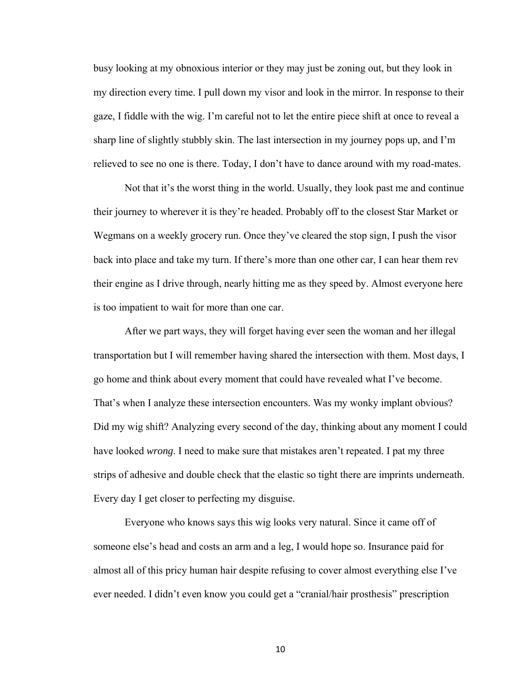busy looking at my obnoxious interior or they may just be zoning out, but they look in my direction every time. I pull down my visor and look in the mirror. In response to their gaze, I fiddle with the wig. I'm careful not to let the entire piece shift at once to reveal a sharp line of slightly stubbly skin. The last intersection in my journey pops up, and I'm relieved to see no one is there. Today, I don't have to dance around with my road-mates.

Not that it's the worst thing in the world. Usually, they look past me and continue their journey to wherever it is they're headed. Probably off to the closest Star Market or Wegmans on a weekly grocery run. Once they've cleared the stop sign, I push the visor back into place and take my turn. If there's more than one other car, I can hear them rev their engine as I drive through, nearly hitting me as they speed by. Almost everyone here is too impatient to wait for more than one car.

After we part ways, they will forget having ever seen the woman and her illegal transportation but I will remember having shared the intersection with them. Most days, I go home and think about every moment that could have revealed what I've become. That's when I analyze these intersection encounters. Was my wonky implant obvious? Did my wig shift? Analyzing every second of the day, thinking about any moment I could have looked *wrong*. I need to make sure that mistakes aren't repeated. I pat my three strips of adhesive and double check that the elastic so tight there are imprints underneath. Every day I get closer to perfecting my disguise.

Everyone who knows says this wig looks very natural. Since it came off of someone else's head and costs an arm and a leg, I would hope so. Insurance paid for almost all of this pricy human hair despite refusing to cover almost everything else I've ever needed. I didn't even know you could get a "cranial/hair prosthesis" prescription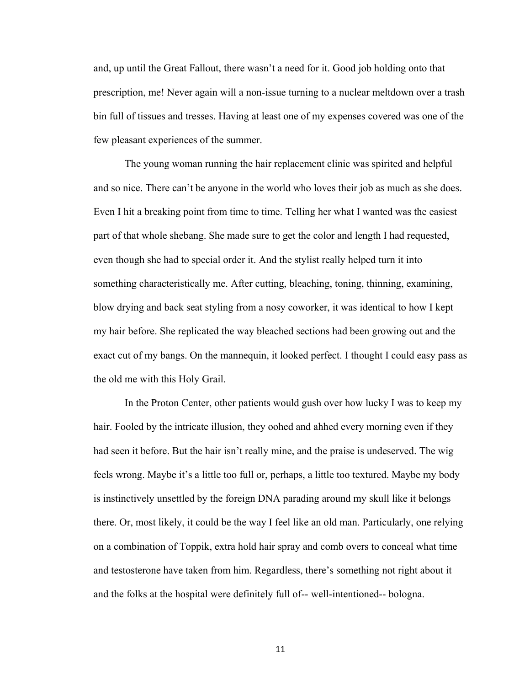and, up until the Great Fallout, there wasn't a need for it. Good job holding onto that prescription, me! Never again will a non-issue turning to a nuclear meltdown over a trash bin full of tissues and tresses. Having at least one of my expenses covered was one of the few pleasant experiences of the summer.

The young woman running the hair replacement clinic was spirited and helpful and so nice. There can't be anyone in the world who loves their job as much as she does. Even I hit a breaking point from time to time. Telling her what I wanted was the easiest part of that whole shebang. She made sure to get the color and length I had requested, even though she had to special order it. And the stylist really helped turn it into something characteristically me. After cutting, bleaching, toning, thinning, examining, blow drying and back seat styling from a nosy coworker, it was identical to how I kept my hair before. She replicated the way bleached sections had been growing out and the exact cut of my bangs. On the mannequin, it looked perfect. I thought I could easy pass as the old me with this Holy Grail.

In the Proton Center, other patients would gush over how lucky I was to keep my hair. Fooled by the intricate illusion, they oohed and ahhed every morning even if they had seen it before. But the hair isn't really mine, and the praise is undeserved. The wig feels wrong. Maybe it's a little too full or, perhaps, a little too textured. Maybe my body is instinctively unsettled by the foreign DNA parading around my skull like it belongs there. Or, most likely, it could be the way I feel like an old man. Particularly, one relying on a combination of Toppik, extra hold hair spray and comb overs to conceal what time and testosterone have taken from him. Regardless, there's something not right about it and the folks at the hospital were definitely full of-- well-intentioned-- bologna.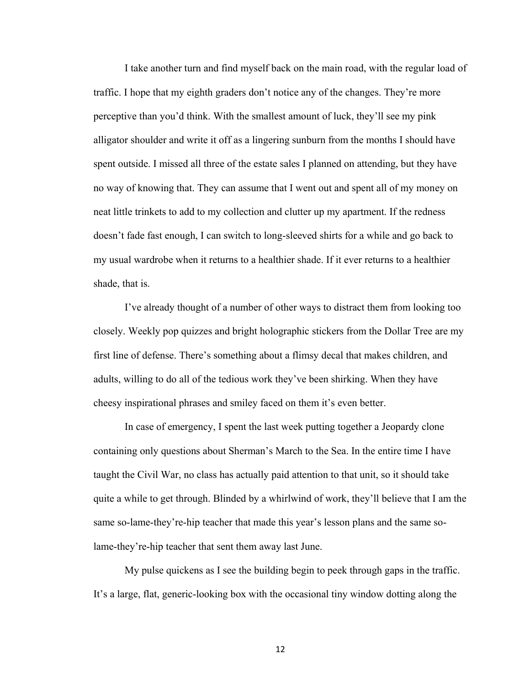I take another turn and find myself back on the main road, with the regular load of traffic. I hope that my eighth graders don't notice any of the changes. They're more perceptive than you'd think. With the smallest amount of luck, they'll see my pink alligator shoulder and write it off as a lingering sunburn from the months I should have spent outside. I missed all three of the estate sales I planned on attending, but they have no way of knowing that. They can assume that I went out and spent all of my money on neat little trinkets to add to my collection and clutter up my apartment. If the redness doesn't fade fast enough, I can switch to long-sleeved shirts for a while and go back to my usual wardrobe when it returns to a healthier shade. If it ever returns to a healthier shade, that is.

I've already thought of a number of other ways to distract them from looking too closely. Weekly pop quizzes and bright holographic stickers from the Dollar Tree are my first line of defense. There's something about a flimsy decal that makes children, and adults, willing to do all of the tedious work they've been shirking. When they have cheesy inspirational phrases and smiley faced on them it's even better.

In case of emergency, I spent the last week putting together a Jeopardy clone containing only questions about Sherman's March to the Sea. In the entire time I have taught the Civil War, no class has actually paid attention to that unit, so it should take quite a while to get through. Blinded by a whirlwind of work, they'll believe that I am the same so-lame-they're-hip teacher that made this year's lesson plans and the same solame-they're-hip teacher that sent them away last June.

My pulse quickens as I see the building begin to peek through gaps in the traffic. It's a large, flat, generic-looking box with the occasional tiny window dotting along the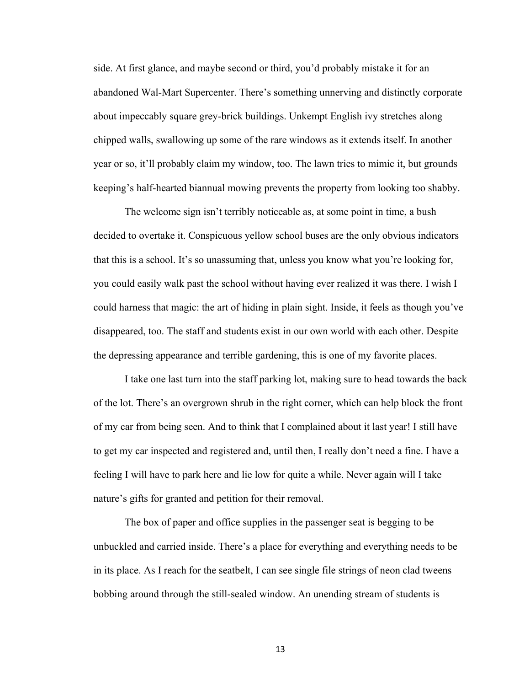side. At first glance, and maybe second or third, you'd probably mistake it for an abandoned Wal-Mart Supercenter. There's something unnerving and distinctly corporate about impeccably square grey-brick buildings. Unkempt English ivy stretches along chipped walls, swallowing up some of the rare windows as it extends itself. In another year or so, it'll probably claim my window, too. The lawn tries to mimic it, but grounds keeping's half-hearted biannual mowing prevents the property from looking too shabby.

The welcome sign isn't terribly noticeable as, at some point in time, a bush decided to overtake it. Conspicuous yellow school buses are the only obvious indicators that this is a school. It's so unassuming that, unless you know what you're looking for, you could easily walk past the school without having ever realized it was there. I wish I could harness that magic: the art of hiding in plain sight. Inside, it feels as though you've disappeared, too. The staff and students exist in our own world with each other. Despite the depressing appearance and terrible gardening, this is one of my favorite places.

I take one last turn into the staff parking lot, making sure to head towards the back of the lot. There's an overgrown shrub in the right corner, which can help block the front of my car from being seen. And to think that I complained about it last year! I still have to get my car inspected and registered and, until then, I really don't need a fine. I have a feeling I will have to park here and lie low for quite a while. Never again will I take nature's gifts for granted and petition for their removal.

The box of paper and office supplies in the passenger seat is begging to be unbuckled and carried inside. There's a place for everything and everything needs to be in its place. As I reach for the seatbelt, I can see single file strings of neon clad tweens bobbing around through the still-sealed window. An unending stream of students is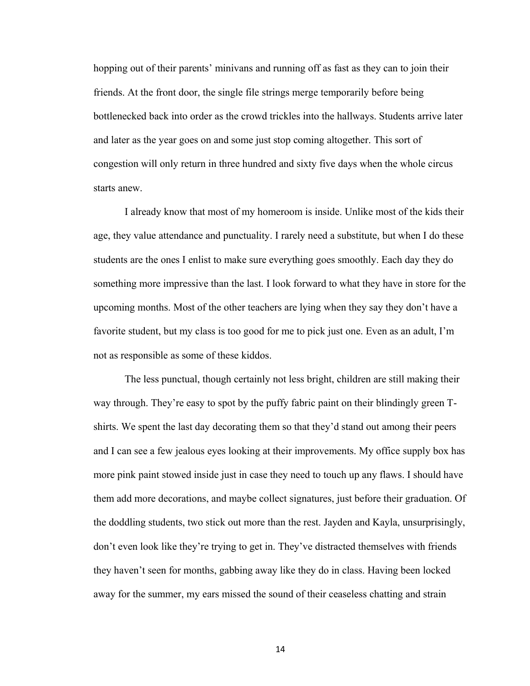hopping out of their parents' minivans and running off as fast as they can to join their friends. At the front door, the single file strings merge temporarily before being bottlenecked back into order as the crowd trickles into the hallways. Students arrive later and later as the year goes on and some just stop coming altogether. This sort of congestion will only return in three hundred and sixty five days when the whole circus starts anew.

I already know that most of my homeroom is inside. Unlike most of the kids their age, they value attendance and punctuality. I rarely need a substitute, but when I do these students are the ones I enlist to make sure everything goes smoothly. Each day they do something more impressive than the last. I look forward to what they have in store for the upcoming months. Most of the other teachers are lying when they say they don't have a favorite student, but my class is too good for me to pick just one. Even as an adult, I'm not as responsible as some of these kiddos.

The less punctual, though certainly not less bright, children are still making their way through. They're easy to spot by the puffy fabric paint on their blindingly green Tshirts. We spent the last day decorating them so that they'd stand out among their peers and I can see a few jealous eyes looking at their improvements. My office supply box has more pink paint stowed inside just in case they need to touch up any flaws. I should have them add more decorations, and maybe collect signatures, just before their graduation. Of the doddling students, two stick out more than the rest. Jayden and Kayla, unsurprisingly, don't even look like they're trying to get in. They've distracted themselves with friends they haven't seen for months, gabbing away like they do in class. Having been locked away for the summer, my ears missed the sound of their ceaseless chatting and strain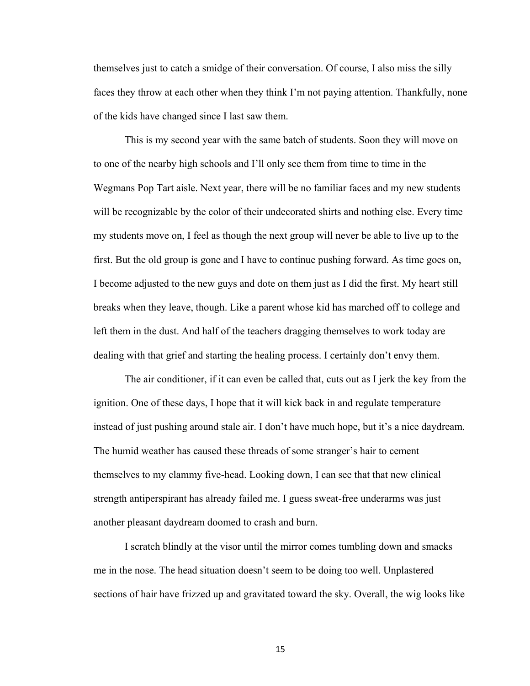themselves just to catch a smidge of their conversation. Of course, I also miss the silly faces they throw at each other when they think I'm not paying attention. Thankfully, none of the kids have changed since I last saw them.

This is my second year with the same batch of students. Soon they will move on to one of the nearby high schools and I'll only see them from time to time in the Wegmans Pop Tart aisle. Next year, there will be no familiar faces and my new students will be recognizable by the color of their undecorated shirts and nothing else. Every time my students move on, I feel as though the next group will never be able to live up to the first. But the old group is gone and I have to continue pushing forward. As time goes on, I become adjusted to the new guys and dote on them just as I did the first. My heart still breaks when they leave, though. Like a parent whose kid has marched off to college and left them in the dust. And half of the teachers dragging themselves to work today are dealing with that grief and starting the healing process. I certainly don't envy them.

The air conditioner, if it can even be called that, cuts out as I jerk the key from the ignition. One of these days, I hope that it will kick back in and regulate temperature instead of just pushing around stale air. I don't have much hope, but it's a nice daydream. The humid weather has caused these threads of some stranger's hair to cement themselves to my clammy five-head. Looking down, I can see that that new clinical strength antiperspirant has already failed me. I guess sweat-free underarms was just another pleasant daydream doomed to crash and burn.

I scratch blindly at the visor until the mirror comes tumbling down and smacks me in the nose. The head situation doesn't seem to be doing too well. Unplastered sections of hair have frizzed up and gravitated toward the sky. Overall, the wig looks like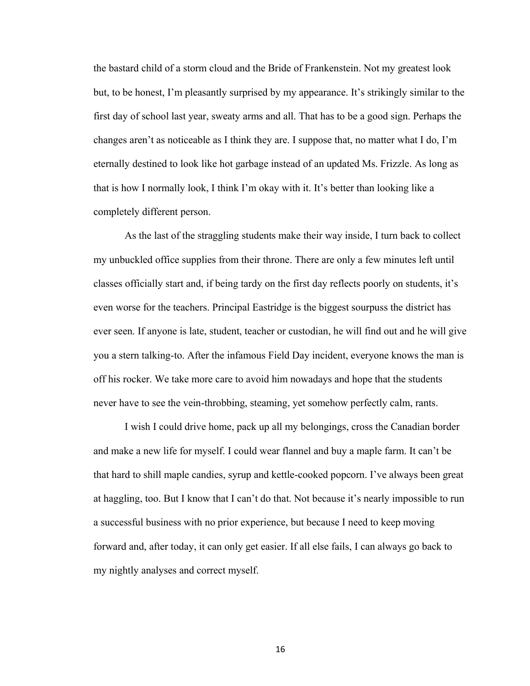the bastard child of a storm cloud and the Bride of Frankenstein. Not my greatest look but, to be honest, I'm pleasantly surprised by my appearance. It's strikingly similar to the first day of school last year, sweaty arms and all. That has to be a good sign. Perhaps the changes aren't as noticeable as I think they are. I suppose that, no matter what I do, I'm eternally destined to look like hot garbage instead of an updated Ms. Frizzle. As long as that is how I normally look, I think I'm okay with it. It's better than looking like a completely different person.

As the last of the straggling students make their way inside, I turn back to collect my unbuckled office supplies from their throne. There are only a few minutes left until classes officially start and, if being tardy on the first day reflects poorly on students, it's even worse for the teachers. Principal Eastridge is the biggest sourpuss the district has ever seen. If anyone is late, student, teacher or custodian, he will find out and he will give you a stern talking-to. After the infamous Field Day incident, everyone knows the man is off his rocker. We take more care to avoid him nowadays and hope that the students never have to see the vein-throbbing, steaming, yet somehow perfectly calm, rants.

I wish I could drive home, pack up all my belongings, cross the Canadian border and make a new life for myself. I could wear flannel and buy a maple farm. It can't be that hard to shill maple candies, syrup and kettle-cooked popcorn. I've always been great at haggling, too. But I know that I can't do that. Not because it's nearly impossible to run a successful business with no prior experience, but because I need to keep moving forward and, after today, it can only get easier. If all else fails, I can always go back to my nightly analyses and correct myself.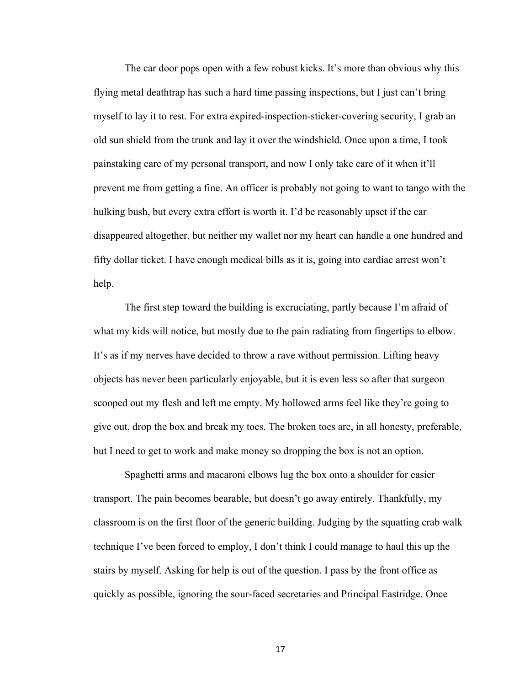The car door pops open with a few robust kicks. It's more than obvious why this flying metal deathtrap has such a hard time passing inspections, but I just can't bring myself to lay it to rest. For extra expired-inspection-sticker-covering security, I grab an old sun shield from the trunk and lay it over the windshield. Once upon a time, I took painstaking care of my personal transport, and now I only take care of it when it'll prevent me from getting a fine. An officer is probably not going to want to tango with the hulking bush, but every extra effort is worth it. I'd be reasonably upset if the car disappeared altogether, but neither my wallet nor my heart can handle a one hundred and fifty dollar ticket. I have enough medical bills as it is, going into cardiac arrest won't help.

The first step toward the building is excruciating, partly because I'm afraid of what my kids will notice, but mostly due to the pain radiating from fingertips to elbow. It's as if my nerves have decided to throw a rave without permission. Lifting heavy objects has never been particularly enjoyable, but it is even less so after that surgeon scooped out my flesh and left me empty. My hollowed arms feel like they're going to give out, drop the box and break my toes. The broken toes are, in all honesty, preferable, but I need to get to work and make money so dropping the box is not an option.

Spaghetti arms and macaroni elbows lug the box onto a shoulder for easier transport. The pain becomes bearable, but doesn't go away entirely. Thankfully, my classroom is on the first floor of the generic building. Judging by the squatting crab walk technique I've been forced to employ, I don't think I could manage to haul this up the stairs by myself. Asking for help is out of the question. I pass by the front office as quickly as possible, ignoring the sour-faced secretaries and Principal Eastridge. Once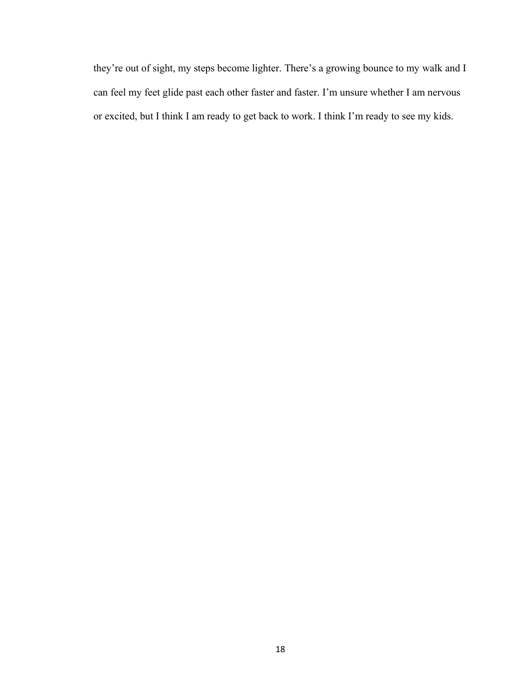they're out of sight, my steps become lighter. There's a growing bounce to my walk and I can feel my feet glide past each other faster and faster. I'm unsure whether I am nervous or excited, but I think I am ready to get back to work. I think I'm ready to see my kids.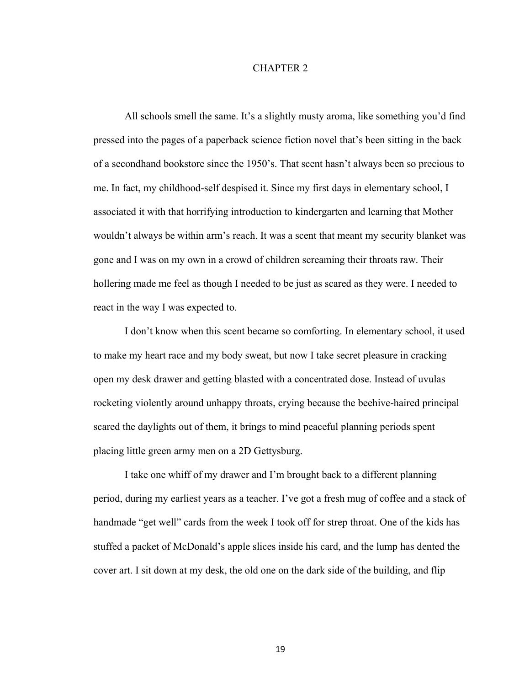#### CHAPTER 2

All schools smell the same. It's a slightly musty aroma, like something you'd find pressed into the pages of a paperback science fiction novel that's been sitting in the back of a secondhand bookstore since the 1950's. That scent hasn't always been so precious to me. In fact, my childhood-self despised it. Since my first days in elementary school, I associated it with that horrifying introduction to kindergarten and learning that Mother wouldn't always be within arm's reach. It was a scent that meant my security blanket was gone and I was on my own in a crowd of children screaming their throats raw. Their hollering made me feel as though I needed to be just as scared as they were. I needed to react in the way I was expected to.

I don't know when this scent became so comforting. In elementary school, it used to make my heart race and my body sweat, but now I take secret pleasure in cracking open my desk drawer and getting blasted with a concentrated dose. Instead of uvulas rocketing violently around unhappy throats, crying because the beehive-haired principal scared the daylights out of them, it brings to mind peaceful planning periods spent placing little green army men on a 2D Gettysburg.

I take one whiff of my drawer and I'm brought back to a different planning period, during my earliest years as a teacher. I've got a fresh mug of coffee and a stack of handmade "get well" cards from the week I took off for strep throat. One of the kids has stuffed a packet of McDonald's apple slices inside his card, and the lump has dented the cover art. I sit down at my desk, the old one on the dark side of the building, and flip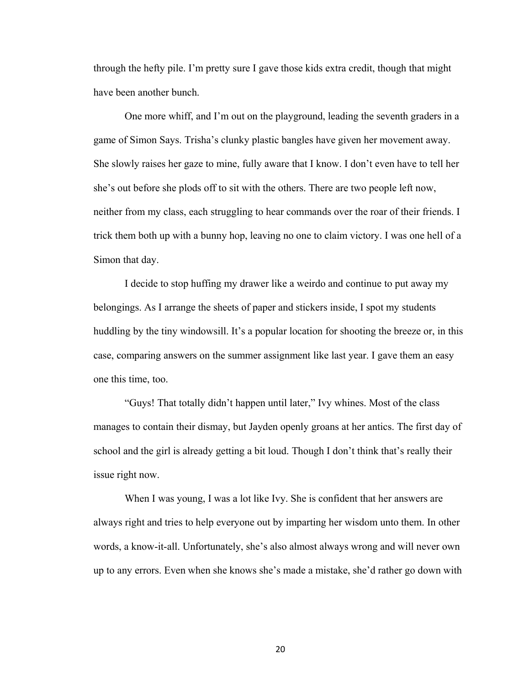through the hefty pile. I'm pretty sure I gave those kids extra credit, though that might have been another bunch.

One more whiff, and I'm out on the playground, leading the seventh graders in a game of Simon Says. Trisha's clunky plastic bangles have given her movement away. She slowly raises her gaze to mine, fully aware that I know. I don't even have to tell her she's out before she plods off to sit with the others. There are two people left now, neither from my class, each struggling to hear commands over the roar of their friends. I trick them both up with a bunny hop, leaving no one to claim victory. I was one hell of a Simon that day.

I decide to stop huffing my drawer like a weirdo and continue to put away my belongings. As I arrange the sheets of paper and stickers inside, I spot my students huddling by the tiny windowsill. It's a popular location for shooting the breeze or, in this case, comparing answers on the summer assignment like last year. I gave them an easy one this time, too.

"Guys! That totally didn't happen until later," Ivy whines. Most of the class manages to contain their dismay, but Jayden openly groans at her antics. The first day of school and the girl is already getting a bit loud. Though I don't think that's really their issue right now.

When I was young, I was a lot like Ivy. She is confident that her answers are always right and tries to help everyone out by imparting her wisdom unto them. In other words, a know-it-all. Unfortunately, she's also almost always wrong and will never own up to any errors. Even when she knows she's made a mistake, she'd rather go down with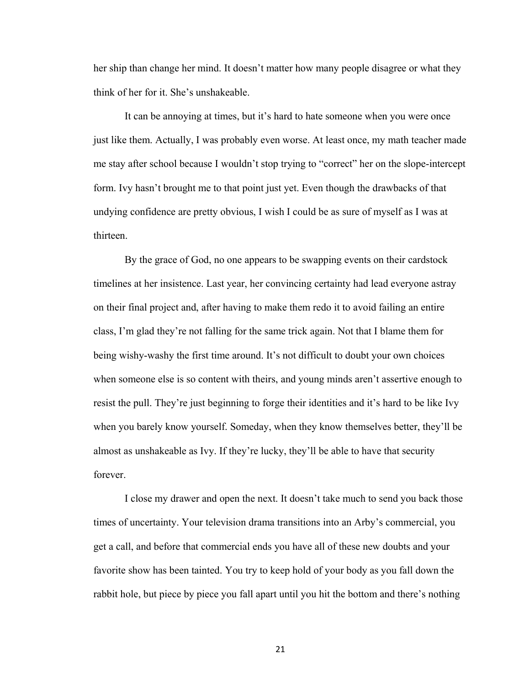her ship than change her mind. It doesn't matter how many people disagree or what they think of her for it. She's unshakeable.

It can be annoying at times, but it's hard to hate someone when you were once just like them. Actually, I was probably even worse. At least once, my math teacher made me stay after school because I wouldn't stop trying to "correct" her on the slope-intercept form. Ivy hasn't brought me to that point just yet. Even though the drawbacks of that undying confidence are pretty obvious, I wish I could be as sure of myself as I was at thirteen.

By the grace of God, no one appears to be swapping events on their cardstock timelines at her insistence. Last year, her convincing certainty had lead everyone astray on their final project and, after having to make them redo it to avoid failing an entire class, I'm glad they're not falling for the same trick again. Not that I blame them for being wishy-washy the first time around. It's not difficult to doubt your own choices when someone else is so content with theirs, and young minds aren't assertive enough to resist the pull. They're just beginning to forge their identities and it's hard to be like Ivy when you barely know yourself. Someday, when they know themselves better, they'll be almost as unshakeable as Ivy. If they're lucky, they'll be able to have that security forever.

I close my drawer and open the next. It doesn't take much to send you back those times of uncertainty. Your television drama transitions into an Arby's commercial, you get a call, and before that commercial ends you have all of these new doubts and your favorite show has been tainted. You try to keep hold of your body as you fall down the rabbit hole, but piece by piece you fall apart until you hit the bottom and there's nothing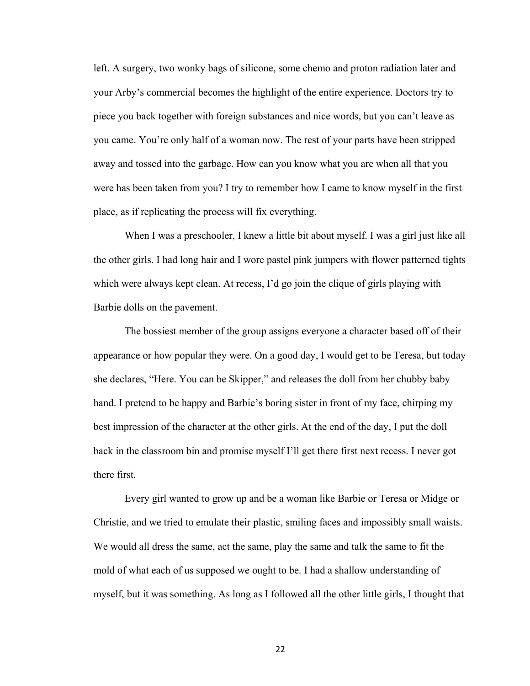left. A surgery, two wonky bags of silicone, some chemo and proton radiation later and your Arby's commercial becomes the highlight of the entire experience. Doctors try to piece you back together with foreign substances and nice words, but you can't leave as you came. You're only half of a woman now. The rest of your parts have been stripped away and tossed into the garbage. How can you know what you are when all that you were has been taken from you? I try to remember how I came to know myself in the first place, as if replicating the process will fix everything.

When I was a preschooler, I knew a little bit about myself. I was a girl just like all the other girls. I had long hair and I wore pastel pink jumpers with flower patterned tights which were always kept clean. At recess, I'd go join the clique of girls playing with Barbie dolls on the pavement.

The bossiest member of the group assigns everyone a character based off of their appearance or how popular they were. On a good day, I would get to be Teresa, but today she declares, "Here. You can be Skipper," and releases the doll from her chubby baby hand. I pretend to be happy and Barbie's boring sister in front of my face, chirping my best impression of the character at the other girls. At the end of the day, I put the doll back in the classroom bin and promise myself I'll get there first next recess. I never got there first.

Every girl wanted to grow up and be a woman like Barbie or Teresa or Midge or Christie, and we tried to emulate their plastic, smiling faces and impossibly small waists. We would all dress the same, act the same, play the same and talk the same to fit the mold of what each of us supposed we ought to be. I had a shallow understanding of myself, but it was something. As long as I followed all the other little girls, I thought that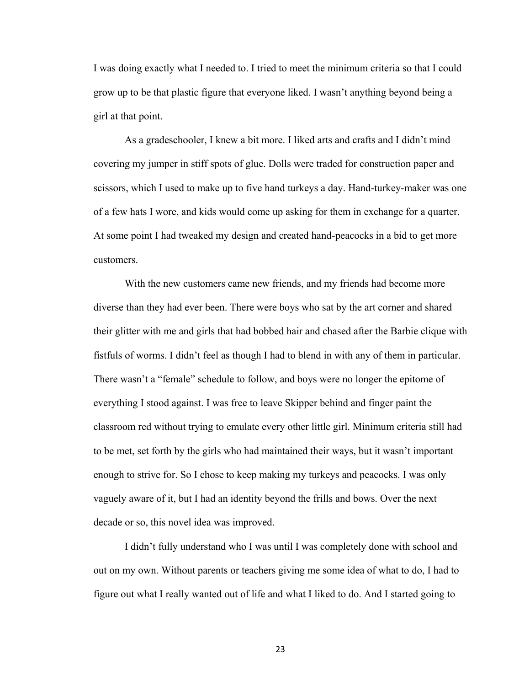I was doing exactly what I needed to. I tried to meet the minimum criteria so that I could grow up to be that plastic figure that everyone liked. I wasn't anything beyond being a girl at that point.

As a gradeschooler, I knew a bit more. I liked arts and crafts and I didn't mind covering my jumper in stiff spots of glue. Dolls were traded for construction paper and scissors, which I used to make up to five hand turkeys a day. Hand-turkey-maker was one of a few hats I wore, and kids would come up asking for them in exchange for a quarter. At some point I had tweaked my design and created hand-peacocks in a bid to get more customers.

With the new customers came new friends, and my friends had become more diverse than they had ever been. There were boys who sat by the art corner and shared their glitter with me and girls that had bobbed hair and chased after the Barbie clique with fistfuls of worms. I didn't feel as though I had to blend in with any of them in particular. There wasn't a "female" schedule to follow, and boys were no longer the epitome of everything I stood against. I was free to leave Skipper behind and finger paint the classroom red without trying to emulate every other little girl. Minimum criteria still had to be met, set forth by the girls who had maintained their ways, but it wasn't important enough to strive for. So I chose to keep making my turkeys and peacocks. I was only vaguely aware of it, but I had an identity beyond the frills and bows. Over the next decade or so, this novel idea was improved.

I didn't fully understand who I was until I was completely done with school and out on my own. Without parents or teachers giving me some idea of what to do, I had to figure out what I really wanted out of life and what I liked to do. And I started going to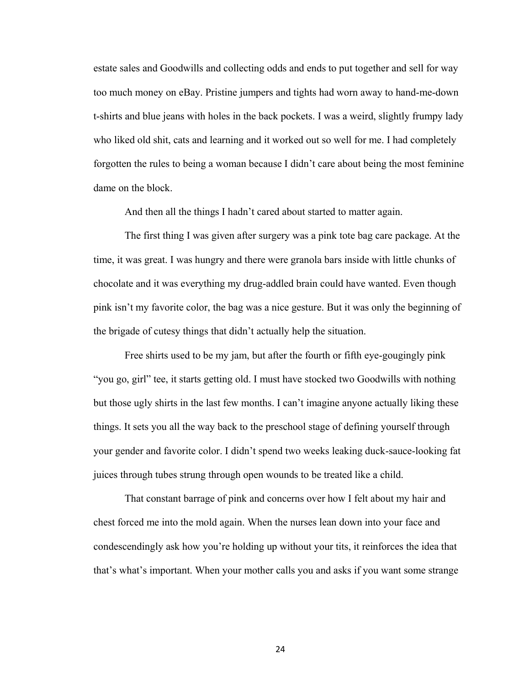estate sales and Goodwills and collecting odds and ends to put together and sell for way too much money on eBay. Pristine jumpers and tights had worn away to hand-me-down t-shirts and blue jeans with holes in the back pockets. I was a weird, slightly frumpy lady who liked old shit, cats and learning and it worked out so well for me. I had completely forgotten the rules to being a woman because I didn't care about being the most feminine dame on the block.

And then all the things I hadn't cared about started to matter again.

The first thing I was given after surgery was a pink tote bag care package. At the time, it was great. I was hungry and there were granola bars inside with little chunks of chocolate and it was everything my drug-addled brain could have wanted. Even though pink isn't my favorite color, the bag was a nice gesture. But it was only the beginning of the brigade of cutesy things that didn't actually help the situation.

Free shirts used to be my jam, but after the fourth or fifth eye-gougingly pink "you go, girl" tee, it starts getting old. I must have stocked two Goodwills with nothing but those ugly shirts in the last few months. I can't imagine anyone actually liking these things. It sets you all the way back to the preschool stage of defining yourself through your gender and favorite color. I didn't spend two weeks leaking duck-sauce-looking fat juices through tubes strung through open wounds to be treated like a child.

That constant barrage of pink and concerns over how I felt about my hair and chest forced me into the mold again. When the nurses lean down into your face and condescendingly ask how you're holding up without your tits, it reinforces the idea that that's what's important. When your mother calls you and asks if you want some strange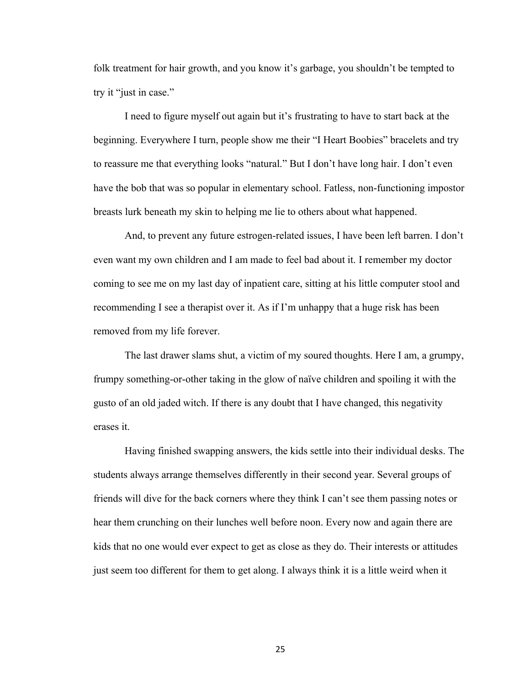folk treatment for hair growth, and you know it's garbage, you shouldn't be tempted to try it "just in case."

I need to figure myself out again but it's frustrating to have to start back at the beginning. Everywhere I turn, people show me their "I Heart Boobies" bracelets and try to reassure me that everything looks "natural." But I don't have long hair. I don't even have the bob that was so popular in elementary school. Fatless, non-functioning impostor breasts lurk beneath my skin to helping me lie to others about what happened.

And, to prevent any future estrogen-related issues, I have been left barren. I don't even want my own children and I am made to feel bad about it. I remember my doctor coming to see me on my last day of inpatient care, sitting at his little computer stool and recommending I see a therapist over it. As if I'm unhappy that a huge risk has been removed from my life forever.

The last drawer slams shut, a victim of my soured thoughts. Here I am, a grumpy, frumpy something-or-other taking in the glow of naïve children and spoiling it with the gusto of an old jaded witch. If there is any doubt that I have changed, this negativity erases it.

Having finished swapping answers, the kids settle into their individual desks. The students always arrange themselves differently in their second year. Several groups of friends will dive for the back corners where they think I can't see them passing notes or hear them crunching on their lunches well before noon. Every now and again there are kids that no one would ever expect to get as close as they do. Their interests or attitudes just seem too different for them to get along. I always think it is a little weird when it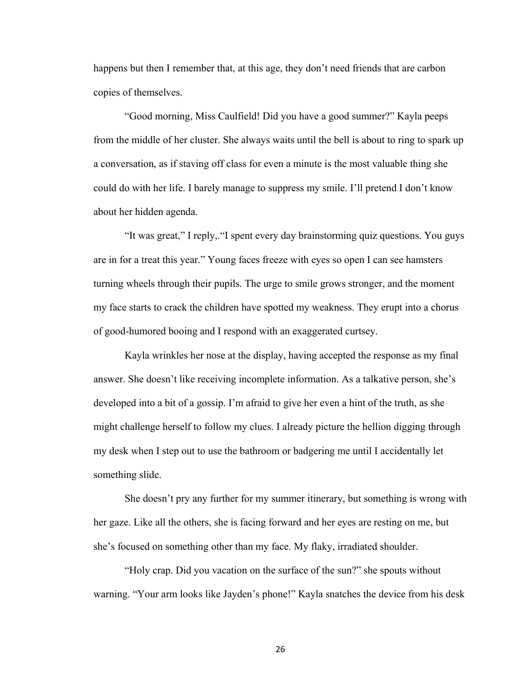happens but then I remember that, at this age, they don't need friends that are carbon copies of themselves.

"Good morning, Miss Caulfield! Did you have a good summer?" Kayla peeps from the middle of her cluster. She always waits until the bell is about to ring to spark up a conversation, as if staving off class for even a minute is the most valuable thing she could do with her life. I barely manage to suppress my smile. I'll pretend I don't know about her hidden agenda.

"It was great," I reply,."I spent every day brainstorming quiz questions. You guys are in for a treat this year." Young faces freeze with eyes so open I can see hamsters turning wheels through their pupils. The urge to smile grows stronger, and the moment my face starts to crack the children have spotted my weakness. They erupt into a chorus of good-humored booing and I respond with an exaggerated curtsey.

Kayla wrinkles her nose at the display, having accepted the response as my final answer. She doesn't like receiving incomplete information. As a talkative person, she's developed into a bit of a gossip. I'm afraid to give her even a hint of the truth, as she might challenge herself to follow my clues. I already picture the hellion digging through my desk when I step out to use the bathroom or badgering me until I accidentally let something slide.

She doesn't pry any further for my summer itinerary, but something is wrong with her gaze. Like all the others, she is facing forward and her eyes are resting on me, but she's focused on something other than my face. My flaky, irradiated shoulder.

"Holy crap. Did you vacation on the surface of the sun?" she spouts without warning. "Your arm looks like Jayden's phone!" Kayla snatches the device from his desk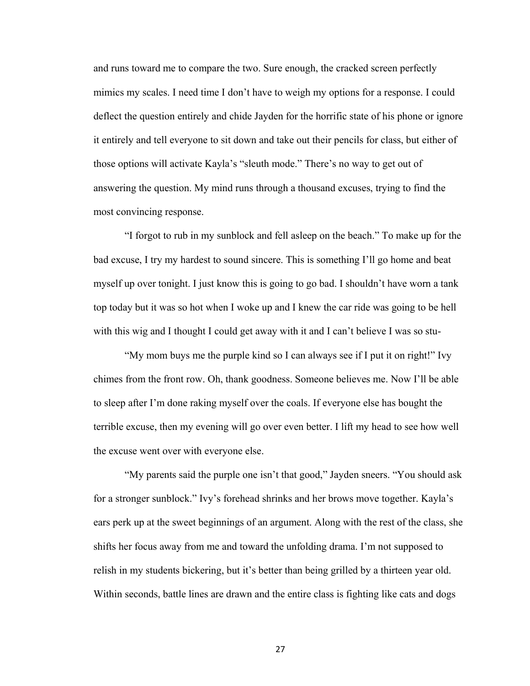and runs toward me to compare the two. Sure enough, the cracked screen perfectly mimics my scales. I need time I don't have to weigh my options for a response. I could deflect the question entirely and chide Jayden for the horrific state of his phone or ignore it entirely and tell everyone to sit down and take out their pencils for class, but either of those options will activate Kayla's "sleuth mode." There's no way to get out of answering the question. My mind runs through a thousand excuses, trying to find the most convincing response.

"I forgot to rub in my sunblock and fell asleep on the beach." To make up for the bad excuse, I try my hardest to sound sincere. This is something I'll go home and beat myself up over tonight. I just know this is going to go bad. I shouldn't have worn a tank top today but it was so hot when I woke up and I knew the car ride was going to be hell with this wig and I thought I could get away with it and I can't believe I was so stu-

"My mom buys me the purple kind so I can always see if I put it on right!" Ivy chimes from the front row. Oh, thank goodness. Someone believes me. Now I'll be able to sleep after I'm done raking myself over the coals. If everyone else has bought the terrible excuse, then my evening will go over even better. I lift my head to see how well the excuse went over with everyone else.

"My parents said the purple one isn't that good," Jayden sneers. "You should ask for a stronger sunblock." Ivy's forehead shrinks and her brows move together. Kayla's ears perk up at the sweet beginnings of an argument. Along with the rest of the class, she shifts her focus away from me and toward the unfolding drama. I'm not supposed to relish in my students bickering, but it's better than being grilled by a thirteen year old. Within seconds, battle lines are drawn and the entire class is fighting like cats and dogs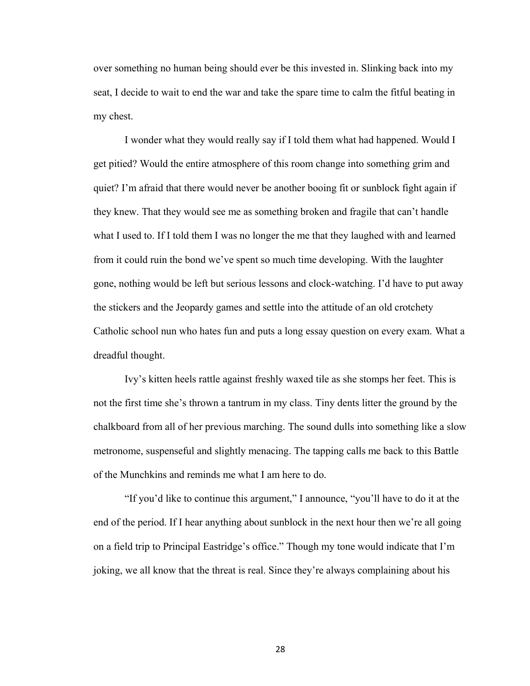over something no human being should ever be this invested in. Slinking back into my seat, I decide to wait to end the war and take the spare time to calm the fitful beating in my chest.

I wonder what they would really say if I told them what had happened. Would I get pitied? Would the entire atmosphere of this room change into something grim and quiet? I'm afraid that there would never be another booing fit or sunblock fight again if they knew. That they would see me as something broken and fragile that can't handle what I used to. If I told them I was no longer the me that they laughed with and learned from it could ruin the bond we've spent so much time developing. With the laughter gone, nothing would be left but serious lessons and clock-watching. I'd have to put away the stickers and the Jeopardy games and settle into the attitude of an old crotchety Catholic school nun who hates fun and puts a long essay question on every exam. What a dreadful thought.

Ivy's kitten heels rattle against freshly waxed tile as she stomps her feet. This is not the first time she's thrown a tantrum in my class. Tiny dents litter the ground by the chalkboard from all of her previous marching. The sound dulls into something like a slow metronome, suspenseful and slightly menacing. The tapping calls me back to this Battle of the Munchkins and reminds me what I am here to do.

"If you'd like to continue this argument," I announce, "you'll have to do it at the end of the period. If I hear anything about sunblock in the next hour then we're all going on a field trip to Principal Eastridge's office." Though my tone would indicate that I'm joking, we all know that the threat is real. Since they're always complaining about his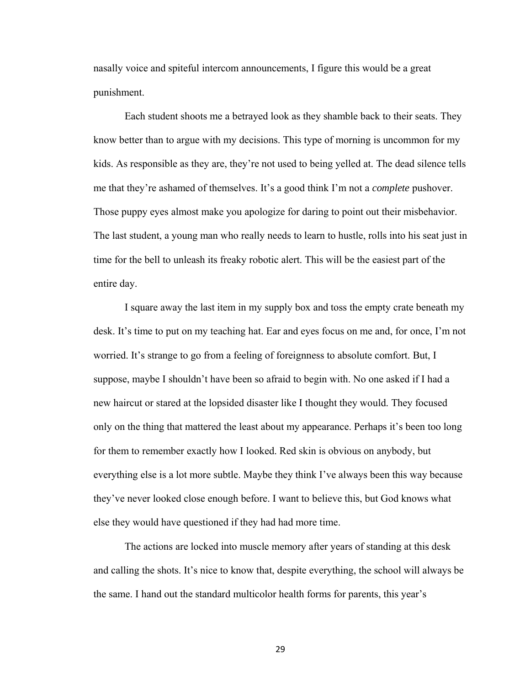nasally voice and spiteful intercom announcements, I figure this would be a great punishment.

Each student shoots me a betrayed look as they shamble back to their seats. They know better than to argue with my decisions. This type of morning is uncommon for my kids. As responsible as they are, they're not used to being yelled at. The dead silence tells me that they're ashamed of themselves. It's a good think I'm not a *complete* pushover. Those puppy eyes almost make you apologize for daring to point out their misbehavior. The last student, a young man who really needs to learn to hustle, rolls into his seat just in time for the bell to unleash its freaky robotic alert. This will be the easiest part of the entire day.

I square away the last item in my supply box and toss the empty crate beneath my desk. It's time to put on my teaching hat. Ear and eyes focus on me and, for once, I'm not worried. It's strange to go from a feeling of foreignness to absolute comfort. But, I suppose, maybe I shouldn't have been so afraid to begin with. No one asked if I had a new haircut or stared at the lopsided disaster like I thought they would. They focused only on the thing that mattered the least about my appearance. Perhaps it's been too long for them to remember exactly how I looked. Red skin is obvious on anybody, but everything else is a lot more subtle. Maybe they think I've always been this way because they've never looked close enough before. I want to believe this, but God knows what else they would have questioned if they had had more time.

The actions are locked into muscle memory after years of standing at this desk and calling the shots. It's nice to know that, despite everything, the school will always be the same. I hand out the standard multicolor health forms for parents, this year's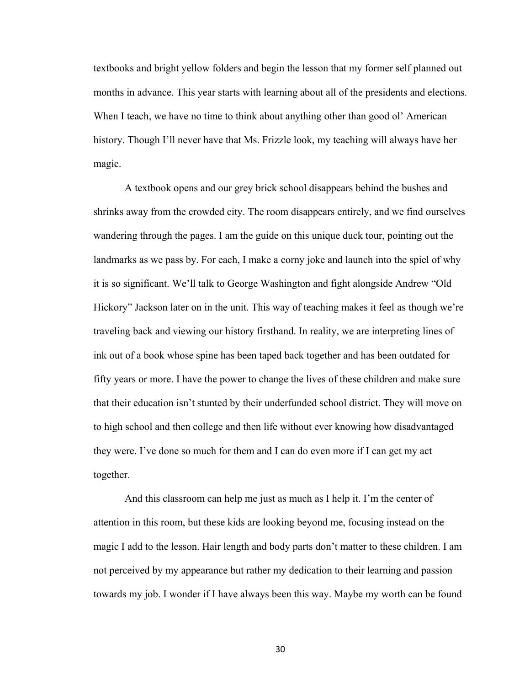textbooks and bright yellow folders and begin the lesson that my former self planned out months in advance. This year starts with learning about all of the presidents and elections. When I teach, we have no time to think about anything other than good ol' American history. Though I'll never have that Ms. Frizzle look, my teaching will always have her magic.

A textbook opens and our grey brick school disappears behind the bushes and shrinks away from the crowded city. The room disappears entirely, and we find ourselves wandering through the pages. I am the guide on this unique duck tour, pointing out the landmarks as we pass by. For each, I make a corny joke and launch into the spiel of why it is so significant. We'll talk to George Washington and fight alongside Andrew "Old Hickory" Jackson later on in the unit. This way of teaching makes it feel as though we're traveling back and viewing our history firsthand. In reality, we are interpreting lines of ink out of a book whose spine has been taped back together and has been outdated for fifty years or more. I have the power to change the lives of these children and make sure that their education isn't stunted by their underfunded school district. They will move on to high school and then college and then life without ever knowing how disadvantaged they were. I've done so much for them and I can do even more if I can get my act together.

And this classroom can help me just as much as I help it. I'm the center of attention in this room, but these kids are looking beyond me, focusing instead on the magic I add to the lesson. Hair length and body parts don't matter to these children. I am not perceived by my appearance but rather my dedication to their learning and passion towards my job. I wonder if I have always been this way. Maybe my worth can be found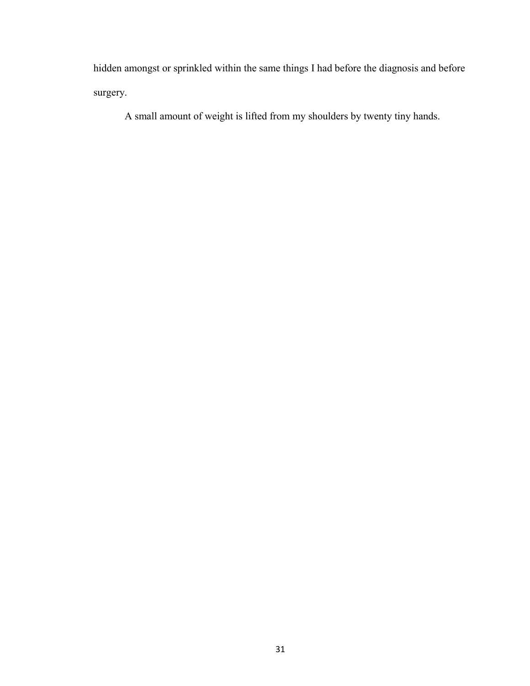hidden amongst or sprinkled within the same things I had before the diagnosis and before surgery.

A small amount of weight is lifted from my shoulders by twenty tiny hands.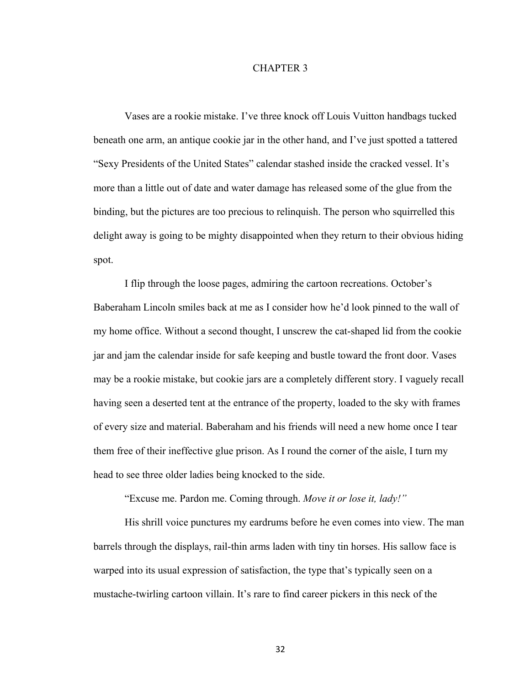## CHAPTER 3

Vases are a rookie mistake. I've three knock off Louis Vuitton handbags tucked beneath one arm, an antique cookie jar in the other hand, and I've just spotted a tattered "Sexy Presidents of the United States" calendar stashed inside the cracked vessel. It's more than a little out of date and water damage has released some of the glue from the binding, but the pictures are too precious to relinquish. The person who squirrelled this delight away is going to be mighty disappointed when they return to their obvious hiding spot.

I flip through the loose pages, admiring the cartoon recreations. October's Baberaham Lincoln smiles back at me as I consider how he'd look pinned to the wall of my home office. Without a second thought, I unscrew the cat-shaped lid from the cookie jar and jam the calendar inside for safe keeping and bustle toward the front door. Vases may be a rookie mistake, but cookie jars are a completely different story. I vaguely recall having seen a deserted tent at the entrance of the property, loaded to the sky with frames of every size and material. Baberaham and his friends will need a new home once I tear them free of their ineffective glue prison. As I round the corner of the aisle, I turn my head to see three older ladies being knocked to the side.

"Excuse me. Pardon me. Coming through. *Move it or lose it, lady!"*

His shrill voice punctures my eardrums before he even comes into view. The man barrels through the displays, rail-thin arms laden with tiny tin horses. His sallow face is warped into its usual expression of satisfaction, the type that's typically seen on a mustache-twirling cartoon villain. It's rare to find career pickers in this neck of the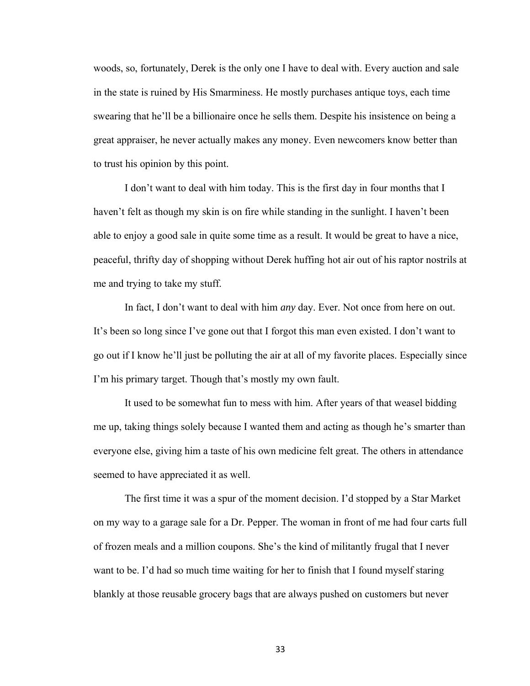woods, so, fortunately, Derek is the only one I have to deal with. Every auction and sale in the state is ruined by His Smarminess. He mostly purchases antique toys, each time swearing that he'll be a billionaire once he sells them. Despite his insistence on being a great appraiser, he never actually makes any money. Even newcomers know better than to trust his opinion by this point.

I don't want to deal with him today. This is the first day in four months that I haven't felt as though my skin is on fire while standing in the sunlight. I haven't been able to enjoy a good sale in quite some time as a result. It would be great to have a nice, peaceful, thrifty day of shopping without Derek huffing hot air out of his raptor nostrils at me and trying to take my stuff.

In fact, I don't want to deal with him *any* day. Ever. Not once from here on out. It's been so long since I've gone out that I forgot this man even existed. I don't want to go out if I know he'll just be polluting the air at all of my favorite places. Especially since I'm his primary target. Though that's mostly my own fault.

It used to be somewhat fun to mess with him. After years of that weasel bidding me up, taking things solely because I wanted them and acting as though he's smarter than everyone else, giving him a taste of his own medicine felt great. The others in attendance seemed to have appreciated it as well.

The first time it was a spur of the moment decision. I'd stopped by a Star Market on my way to a garage sale for a Dr. Pepper. The woman in front of me had four carts full of frozen meals and a million coupons. She's the kind of militantly frugal that I never want to be. I'd had so much time waiting for her to finish that I found myself staring blankly at those reusable grocery bags that are always pushed on customers but never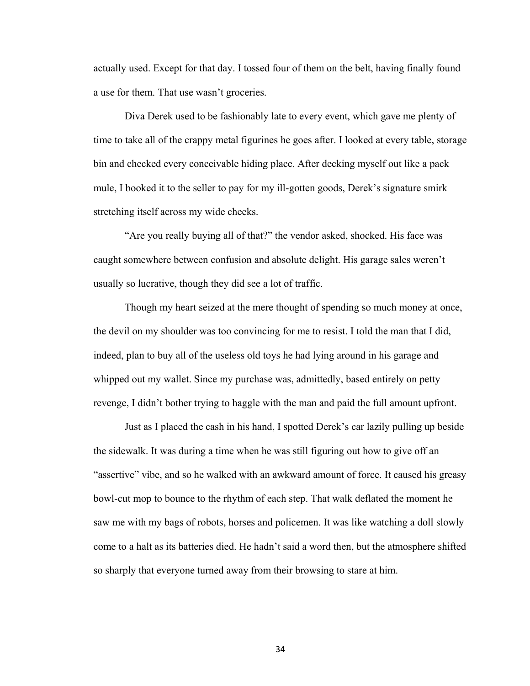actually used. Except for that day. I tossed four of them on the belt, having finally found a use for them. That use wasn't groceries.

Diva Derek used to be fashionably late to every event, which gave me plenty of time to take all of the crappy metal figurines he goes after. I looked at every table, storage bin and checked every conceivable hiding place. After decking myself out like a pack mule, I booked it to the seller to pay for my ill-gotten goods, Derek's signature smirk stretching itself across my wide cheeks.

"Are you really buying all of that?" the vendor asked, shocked. His face was caught somewhere between confusion and absolute delight. His garage sales weren't usually so lucrative, though they did see a lot of traffic.

Though my heart seized at the mere thought of spending so much money at once, the devil on my shoulder was too convincing for me to resist. I told the man that I did, indeed, plan to buy all of the useless old toys he had lying around in his garage and whipped out my wallet. Since my purchase was, admittedly, based entirely on petty revenge, I didn't bother trying to haggle with the man and paid the full amount upfront.

Just as I placed the cash in his hand, I spotted Derek's car lazily pulling up beside the sidewalk. It was during a time when he was still figuring out how to give off an "assertive" vibe, and so he walked with an awkward amount of force. It caused his greasy bowl-cut mop to bounce to the rhythm of each step. That walk deflated the moment he saw me with my bags of robots, horses and policemen. It was like watching a doll slowly come to a halt as its batteries died. He hadn't said a word then, but the atmosphere shifted so sharply that everyone turned away from their browsing to stare at him.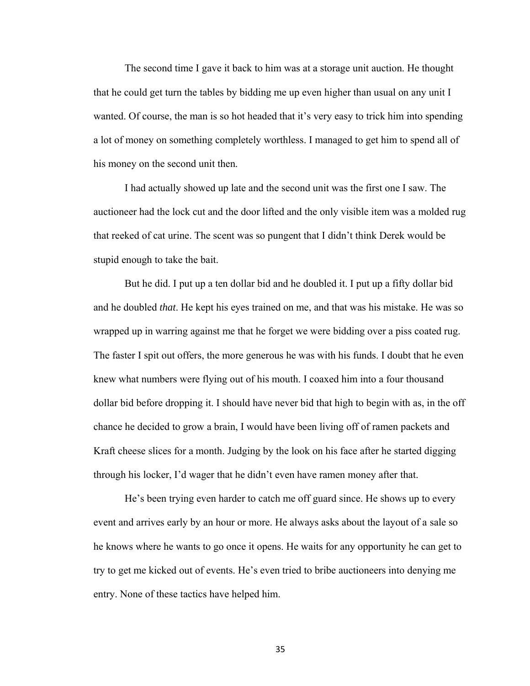The second time I gave it back to him was at a storage unit auction. He thought that he could get turn the tables by bidding me up even higher than usual on any unit I wanted. Of course, the man is so hot headed that it's very easy to trick him into spending a lot of money on something completely worthless. I managed to get him to spend all of his money on the second unit then.

I had actually showed up late and the second unit was the first one I saw. The auctioneer had the lock cut and the door lifted and the only visible item was a molded rug that reeked of cat urine. The scent was so pungent that I didn't think Derek would be stupid enough to take the bait.

But he did. I put up a ten dollar bid and he doubled it. I put up a fifty dollar bid and he doubled *that*. He kept his eyes trained on me, and that was his mistake. He was so wrapped up in warring against me that he forget we were bidding over a piss coated rug. The faster I spit out offers, the more generous he was with his funds. I doubt that he even knew what numbers were flying out of his mouth. I coaxed him into a four thousand dollar bid before dropping it. I should have never bid that high to begin with as, in the off chance he decided to grow a brain, I would have been living off of ramen packets and Kraft cheese slices for a month. Judging by the look on his face after he started digging through his locker, I'd wager that he didn't even have ramen money after that.

He's been trying even harder to catch me off guard since. He shows up to every event and arrives early by an hour or more. He always asks about the layout of a sale so he knows where he wants to go once it opens. He waits for any opportunity he can get to try to get me kicked out of events. He's even tried to bribe auctioneers into denying me entry. None of these tactics have helped him.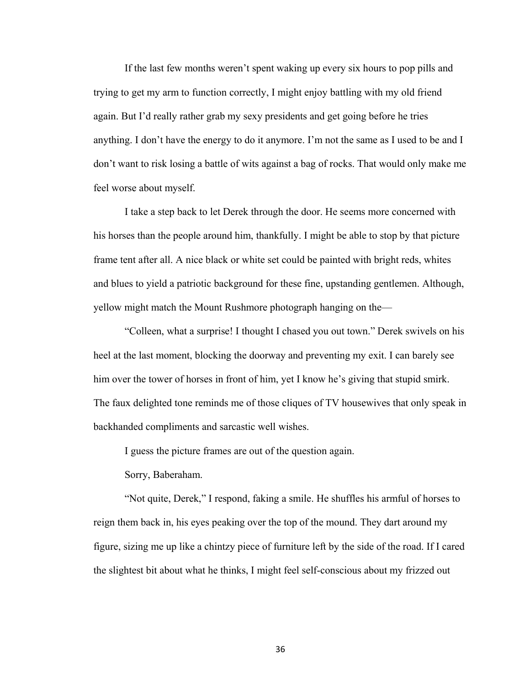If the last few months weren't spent waking up every six hours to pop pills and trying to get my arm to function correctly, I might enjoy battling with my old friend again. But I'd really rather grab my sexy presidents and get going before he tries anything. I don't have the energy to do it anymore. I'm not the same as I used to be and I don't want to risk losing a battle of wits against a bag of rocks. That would only make me feel worse about myself.

I take a step back to let Derek through the door. He seems more concerned with his horses than the people around him, thankfully. I might be able to stop by that picture frame tent after all. A nice black or white set could be painted with bright reds, whites and blues to yield a patriotic background for these fine, upstanding gentlemen. Although, yellow might match the Mount Rushmore photograph hanging on the—

"Colleen, what a surprise! I thought I chased you out town." Derek swivels on his heel at the last moment, blocking the doorway and preventing my exit. I can barely see him over the tower of horses in front of him, yet I know he's giving that stupid smirk. The faux delighted tone reminds me of those cliques of TV housewives that only speak in backhanded compliments and sarcastic well wishes.

I guess the picture frames are out of the question again.

Sorry, Baberaham.

"Not quite, Derek," I respond, faking a smile. He shuffles his armful of horses to reign them back in, his eyes peaking over the top of the mound. They dart around my figure, sizing me up like a chintzy piece of furniture left by the side of the road. If I cared the slightest bit about what he thinks, I might feel self-conscious about my frizzed out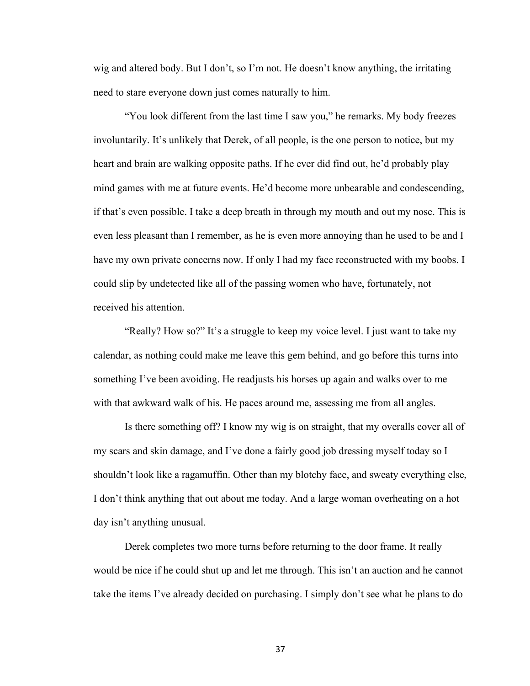wig and altered body. But I don't, so I'm not. He doesn't know anything, the irritating need to stare everyone down just comes naturally to him.

"You look different from the last time I saw you," he remarks. My body freezes involuntarily. It's unlikely that Derek, of all people, is the one person to notice, but my heart and brain are walking opposite paths. If he ever did find out, he'd probably play mind games with me at future events. He'd become more unbearable and condescending, if that's even possible. I take a deep breath in through my mouth and out my nose. This is even less pleasant than I remember, as he is even more annoying than he used to be and I have my own private concerns now. If only I had my face reconstructed with my boobs. I could slip by undetected like all of the passing women who have, fortunately, not received his attention.

"Really? How so?" It's a struggle to keep my voice level. I just want to take my calendar, as nothing could make me leave this gem behind, and go before this turns into something I've been avoiding. He readjusts his horses up again and walks over to me with that awkward walk of his. He paces around me, assessing me from all angles.

Is there something off? I know my wig is on straight, that my overalls cover all of my scars and skin damage, and I've done a fairly good job dressing myself today so I shouldn't look like a ragamuffin. Other than my blotchy face, and sweaty everything else, I don't think anything that out about me today. And a large woman overheating on a hot day isn't anything unusual.

Derek completes two more turns before returning to the door frame. It really would be nice if he could shut up and let me through. This isn't an auction and he cannot take the items I've already decided on purchasing. I simply don't see what he plans to do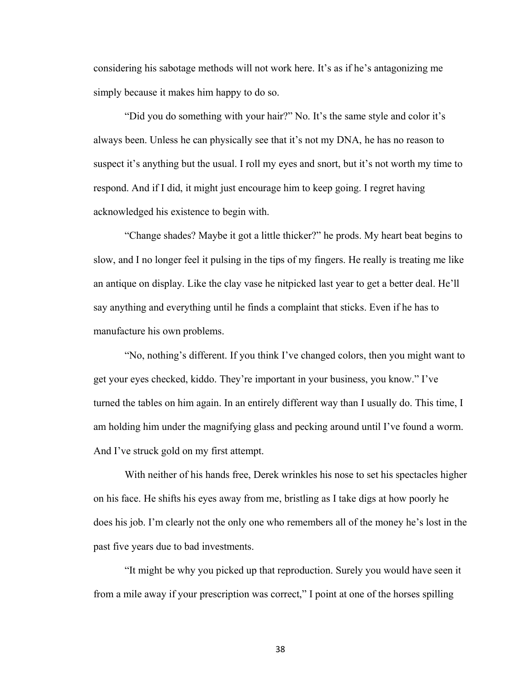considering his sabotage methods will not work here. It's as if he's antagonizing me simply because it makes him happy to do so.

"Did you do something with your hair?" No. It's the same style and color it's always been. Unless he can physically see that it's not my DNA, he has no reason to suspect it's anything but the usual. I roll my eyes and snort, but it's not worth my time to respond. And if I did, it might just encourage him to keep going. I regret having acknowledged his existence to begin with.

"Change shades? Maybe it got a little thicker?" he prods. My heart beat begins to slow, and I no longer feel it pulsing in the tips of my fingers. He really is treating me like an antique on display. Like the clay vase he nitpicked last year to get a better deal. He'll say anything and everything until he finds a complaint that sticks. Even if he has to manufacture his own problems.

"No, nothing's different. If you think I've changed colors, then you might want to get your eyes checked, kiddo. They're important in your business, you know." I've turned the tables on him again. In an entirely different way than I usually do. This time, I am holding him under the magnifying glass and pecking around until I've found a worm. And I've struck gold on my first attempt.

With neither of his hands free, Derek wrinkles his nose to set his spectacles higher on his face. He shifts his eyes away from me, bristling as I take digs at how poorly he does his job. I'm clearly not the only one who remembers all of the money he's lost in the past five years due to bad investments.

"It might be why you picked up that reproduction. Surely you would have seen it from a mile away if your prescription was correct," I point at one of the horses spilling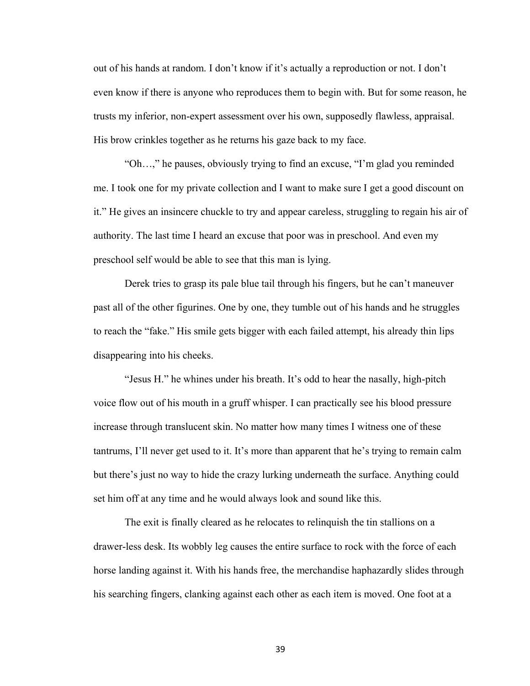out of his hands at random. I don't know if it's actually a reproduction or not. I don't even know if there is anyone who reproduces them to begin with. But for some reason, he trusts my inferior, non-expert assessment over his own, supposedly flawless, appraisal. His brow crinkles together as he returns his gaze back to my face.

"Oh…," he pauses, obviously trying to find an excuse, "I'm glad you reminded me. I took one for my private collection and I want to make sure I get a good discount on it." He gives an insincere chuckle to try and appear careless, struggling to regain his air of authority. The last time I heard an excuse that poor was in preschool. And even my preschool self would be able to see that this man is lying.

Derek tries to grasp its pale blue tail through his fingers, but he can't maneuver past all of the other figurines. One by one, they tumble out of his hands and he struggles to reach the "fake." His smile gets bigger with each failed attempt, his already thin lips disappearing into his cheeks.

"Jesus H." he whines under his breath. It's odd to hear the nasally, high-pitch voice flow out of his mouth in a gruff whisper. I can practically see his blood pressure increase through translucent skin. No matter how many times I witness one of these tantrums, I'll never get used to it. It's more than apparent that he's trying to remain calm but there's just no way to hide the crazy lurking underneath the surface. Anything could set him off at any time and he would always look and sound like this.

The exit is finally cleared as he relocates to relinquish the tin stallions on a drawer-less desk. Its wobbly leg causes the entire surface to rock with the force of each horse landing against it. With his hands free, the merchandise haphazardly slides through his searching fingers, clanking against each other as each item is moved. One foot at a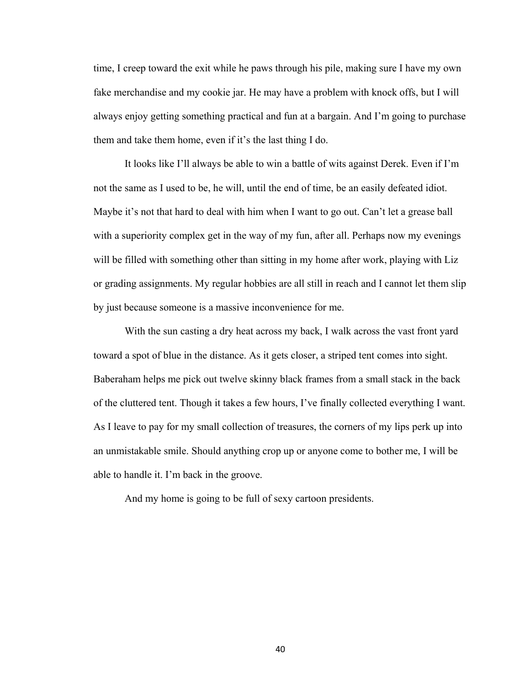time, I creep toward the exit while he paws through his pile, making sure I have my own fake merchandise and my cookie jar. He may have a problem with knock offs, but I will always enjoy getting something practical and fun at a bargain. And I'm going to purchase them and take them home, even if it's the last thing I do.

It looks like I'll always be able to win a battle of wits against Derek. Even if I'm not the same as I used to be, he will, until the end of time, be an easily defeated idiot. Maybe it's not that hard to deal with him when I want to go out. Can't let a grease ball with a superiority complex get in the way of my fun, after all. Perhaps now my evenings will be filled with something other than sitting in my home after work, playing with Liz or grading assignments. My regular hobbies are all still in reach and I cannot let them slip by just because someone is a massive inconvenience for me.

With the sun casting a dry heat across my back, I walk across the vast front yard toward a spot of blue in the distance. As it gets closer, a striped tent comes into sight. Baberaham helps me pick out twelve skinny black frames from a small stack in the back of the cluttered tent. Though it takes a few hours, I've finally collected everything I want. As I leave to pay for my small collection of treasures, the corners of my lips perk up into an unmistakable smile. Should anything crop up or anyone come to bother me, I will be able to handle it. I'm back in the groove.

And my home is going to be full of sexy cartoon presidents.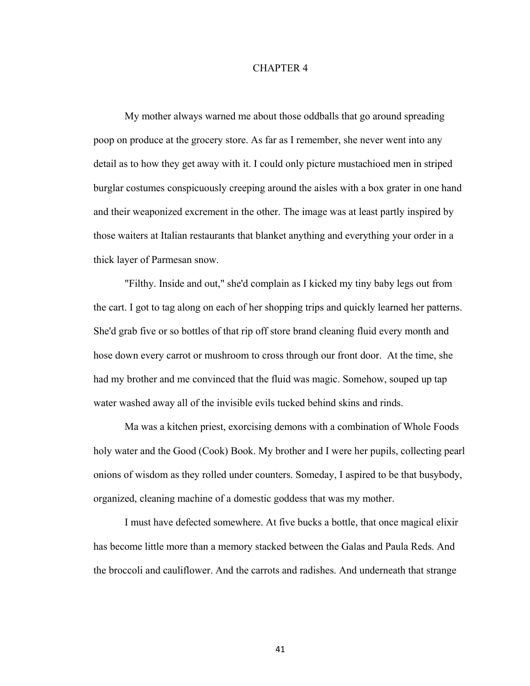## CHAPTER 4

My mother always warned me about those oddballs that go around spreading poop on produce at the grocery store. As far as I remember, she never went into any detail as to how they get away with it. I could only picture mustachioed men in striped burglar costumes conspicuously creeping around the aisles with a box grater in one hand and their weaponized excrement in the other. The image was at least partly inspired by those waiters at Italian restaurants that blanket anything and everything your order in a thick layer of Parmesan snow.

"Filthy. Inside and out," she'd complain as I kicked my tiny baby legs out from the cart. I got to tag along on each of her shopping trips and quickly learned her patterns. She'd grab five or so bottles of that rip off store brand cleaning fluid every month and hose down every carrot or mushroom to cross through our front door. At the time, she had my brother and me convinced that the fluid was magic. Somehow, souped up tap water washed away all of the invisible evils tucked behind skins and rinds.

Ma was a kitchen priest, exorcising demons with a combination of Whole Foods holy water and the Good (Cook) Book. My brother and I were her pupils, collecting pearl onions of wisdom as they rolled under counters. Someday, I aspired to be that busybody, organized, cleaning machine of a domestic goddess that was my mother.

I must have defected somewhere. At five bucks a bottle, that once magical elixir has become little more than a memory stacked between the Galas and Paula Reds. And the broccoli and cauliflower. And the carrots and radishes. And underneath that strange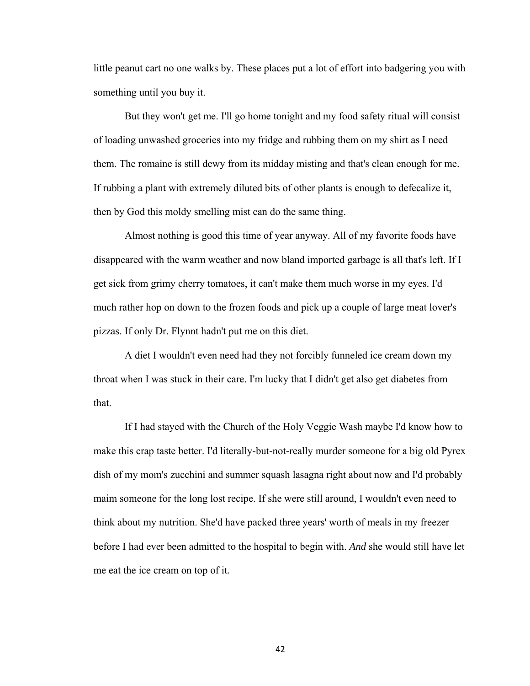little peanut cart no one walks by. These places put a lot of effort into badgering you with something until you buy it.

But they won't get me. I'll go home tonight and my food safety ritual will consist of loading unwashed groceries into my fridge and rubbing them on my shirt as I need them. The romaine is still dewy from its midday misting and that's clean enough for me. If rubbing a plant with extremely diluted bits of other plants is enough to defecalize it, then by God this moldy smelling mist can do the same thing.

Almost nothing is good this time of year anyway. All of my favorite foods have disappeared with the warm weather and now bland imported garbage is all that's left. If I get sick from grimy cherry tomatoes, it can't make them much worse in my eyes. I'd much rather hop on down to the frozen foods and pick up a couple of large meat lover's pizzas. If only Dr. Flynnt hadn't put me on this diet.

A diet I wouldn't even need had they not forcibly funneled ice cream down my throat when I was stuck in their care. I'm lucky that I didn't get also get diabetes from that.

If I had stayed with the Church of the Holy Veggie Wash maybe I'd know how to make this crap taste better. I'd literally-but-not-really murder someone for a big old Pyrex dish of my mom's zucchini and summer squash lasagna right about now and I'd probably maim someone for the long lost recipe. If she were still around, I wouldn't even need to think about my nutrition. She'd have packed three years' worth of meals in my freezer before I had ever been admitted to the hospital to begin with. *And* she would still have let me eat the ice cream on top of it*.*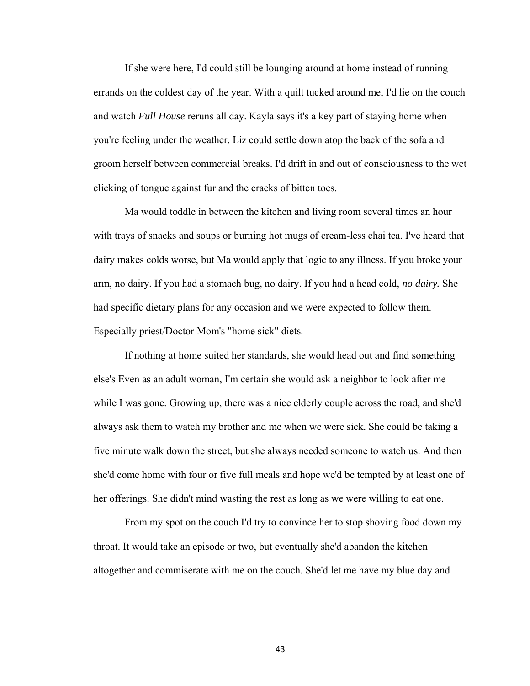If she were here, I'd could still be lounging around at home instead of running errands on the coldest day of the year. With a quilt tucked around me, I'd lie on the couch and watch *Full House* reruns all day. Kayla says it's a key part of staying home when you're feeling under the weather. Liz could settle down atop the back of the sofa and groom herself between commercial breaks. I'd drift in and out of consciousness to the wet clicking of tongue against fur and the cracks of bitten toes.

Ma would toddle in between the kitchen and living room several times an hour with trays of snacks and soups or burning hot mugs of cream-less chai tea. I've heard that dairy makes colds worse, but Ma would apply that logic to any illness. If you broke your arm, no dairy. If you had a stomach bug, no dairy. If you had a head cold, *no dairy.* She had specific dietary plans for any occasion and we were expected to follow them. Especially priest/Doctor Mom's "home sick" diets.

If nothing at home suited her standards, she would head out and find something else's Even as an adult woman, I'm certain she would ask a neighbor to look after me while I was gone. Growing up, there was a nice elderly couple across the road, and she'd always ask them to watch my brother and me when we were sick. She could be taking a five minute walk down the street, but she always needed someone to watch us. And then she'd come home with four or five full meals and hope we'd be tempted by at least one of her offerings. She didn't mind wasting the rest as long as we were willing to eat one.

From my spot on the couch I'd try to convince her to stop shoving food down my throat. It would take an episode or two, but eventually she'd abandon the kitchen altogether and commiserate with me on the couch. She'd let me have my blue day and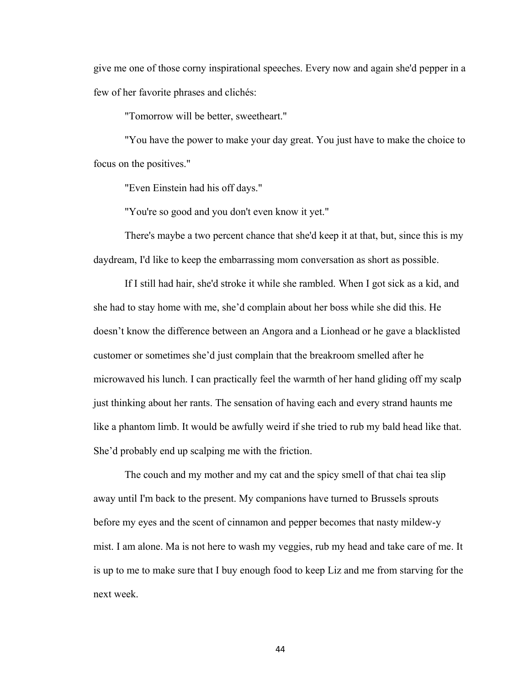give me one of those corny inspirational speeches. Every now and again she'd pepper in a few of her favorite phrases and clichés:

"Tomorrow will be better, sweetheart."

"You have the power to make your day great. You just have to make the choice to focus on the positives."

"Even Einstein had his off days."

"You're so good and you don't even know it yet."

There's maybe a two percent chance that she'd keep it at that, but, since this is my daydream, I'd like to keep the embarrassing mom conversation as short as possible.

If I still had hair, she'd stroke it while she rambled. When I got sick as a kid, and she had to stay home with me, she'd complain about her boss while she did this. He doesn't know the difference between an Angora and a Lionhead or he gave a blacklisted customer or sometimes she'd just complain that the breakroom smelled after he microwaved his lunch. I can practically feel the warmth of her hand gliding off my scalp just thinking about her rants. The sensation of having each and every strand haunts me like a phantom limb. It would be awfully weird if she tried to rub my bald head like that. She'd probably end up scalping me with the friction.

The couch and my mother and my cat and the spicy smell of that chai tea slip away until I'm back to the present. My companions have turned to Brussels sprouts before my eyes and the scent of cinnamon and pepper becomes that nasty mildew-y mist. I am alone. Ma is not here to wash my veggies, rub my head and take care of me. It is up to me to make sure that I buy enough food to keep Liz and me from starving for the next week.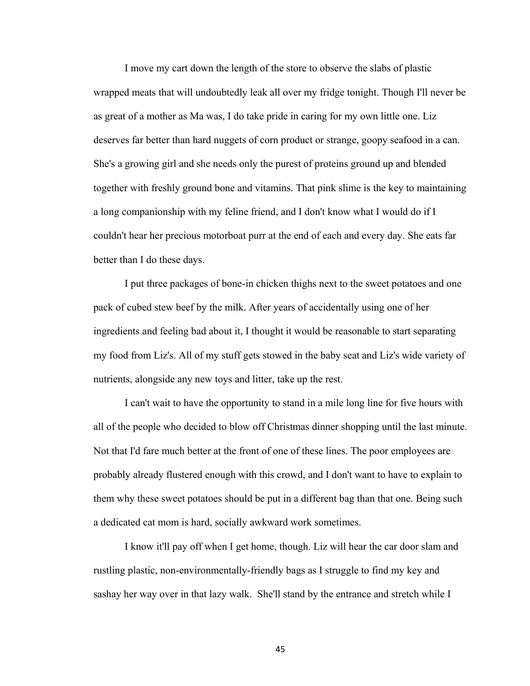I move my cart down the length of the store to observe the slabs of plastic wrapped meats that will undoubtedly leak all over my fridge tonight. Though I'll never be as great of a mother as Ma was, I do take pride in caring for my own little one. Liz deserves far better than hard nuggets of corn product or strange, goopy seafood in a can. She's a growing girl and she needs only the purest of proteins ground up and blended together with freshly ground bone and vitamins. That pink slime is the key to maintaining a long companionship with my feline friend, and I don't know what I would do if I couldn't hear her precious motorboat purr at the end of each and every day. She eats far better than I do these days.

I put three packages of bone-in chicken thighs next to the sweet potatoes and one pack of cubed stew beef by the milk. After years of accidentally using one of her ingredients and feeling bad about it, I thought it would be reasonable to start separating my food from Liz's. All of my stuff gets stowed in the baby seat and Liz's wide variety of nutrients, alongside any new toys and litter, take up the rest.

I can't wait to have the opportunity to stand in a mile long line for five hours with all of the people who decided to blow off Christmas dinner shopping until the last minute. Not that I'd fare much better at the front of one of these lines. The poor employees are probably already flustered enough with this crowd, and I don't want to have to explain to them why these sweet potatoes should be put in a different bag than that one. Being such a dedicated cat mom is hard, socially awkward work sometimes.

I know it'll pay off when I get home, though. Liz will hear the car door slam and rustling plastic, non-environmentally-friendly bags as I struggle to find my key and sashay her way over in that lazy walk. She'll stand by the entrance and stretch while I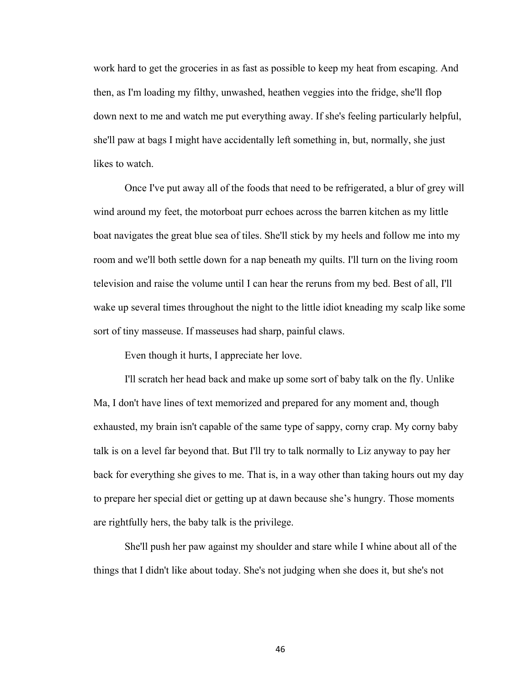work hard to get the groceries in as fast as possible to keep my heat from escaping. And then, as I'm loading my filthy, unwashed, heathen veggies into the fridge, she'll flop down next to me and watch me put everything away. If she's feeling particularly helpful, she'll paw at bags I might have accidentally left something in, but, normally, she just likes to watch.

Once I've put away all of the foods that need to be refrigerated, a blur of grey will wind around my feet, the motorboat purr echoes across the barren kitchen as my little boat navigates the great blue sea of tiles. She'll stick by my heels and follow me into my room and we'll both settle down for a nap beneath my quilts. I'll turn on the living room television and raise the volume until I can hear the reruns from my bed. Best of all, I'll wake up several times throughout the night to the little idiot kneading my scalp like some sort of tiny masseuse. If masseuses had sharp, painful claws.

Even though it hurts, I appreciate her love.

I'll scratch her head back and make up some sort of baby talk on the fly. Unlike Ma, I don't have lines of text memorized and prepared for any moment and, though exhausted, my brain isn't capable of the same type of sappy, corny crap. My corny baby talk is on a level far beyond that. But I'll try to talk normally to Liz anyway to pay her back for everything she gives to me. That is, in a way other than taking hours out my day to prepare her special diet or getting up at dawn because she's hungry. Those moments are rightfully hers, the baby talk is the privilege.

She'll push her paw against my shoulder and stare while I whine about all of the things that I didn't like about today. She's not judging when she does it, but she's not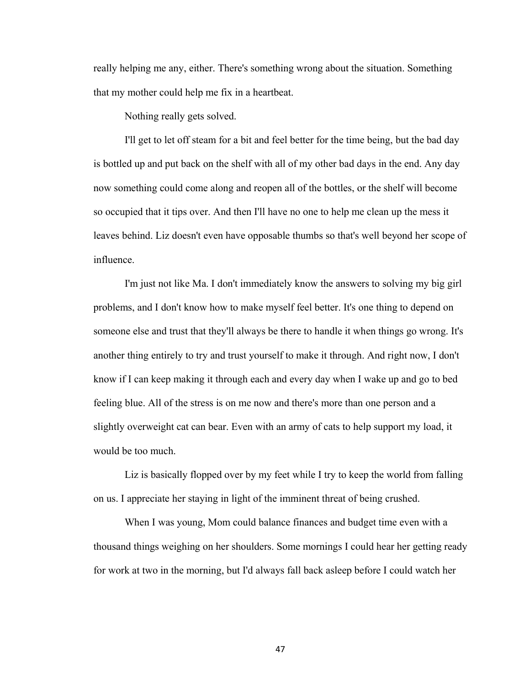really helping me any, either. There's something wrong about the situation. Something that my mother could help me fix in a heartbeat.

Nothing really gets solved.

I'll get to let off steam for a bit and feel better for the time being, but the bad day is bottled up and put back on the shelf with all of my other bad days in the end. Any day now something could come along and reopen all of the bottles, or the shelf will become so occupied that it tips over. And then I'll have no one to help me clean up the mess it leaves behind. Liz doesn't even have opposable thumbs so that's well beyond her scope of influence.

I'm just not like Ma. I don't immediately know the answers to solving my big girl problems, and I don't know how to make myself feel better. It's one thing to depend on someone else and trust that they'll always be there to handle it when things go wrong. It's another thing entirely to try and trust yourself to make it through. And right now, I don't know if I can keep making it through each and every day when I wake up and go to bed feeling blue. All of the stress is on me now and there's more than one person and a slightly overweight cat can bear. Even with an army of cats to help support my load, it would be too much.

Liz is basically flopped over by my feet while I try to keep the world from falling on us. I appreciate her staying in light of the imminent threat of being crushed.

When I was young, Mom could balance finances and budget time even with a thousand things weighing on her shoulders. Some mornings I could hear her getting ready for work at two in the morning, but I'd always fall back asleep before I could watch her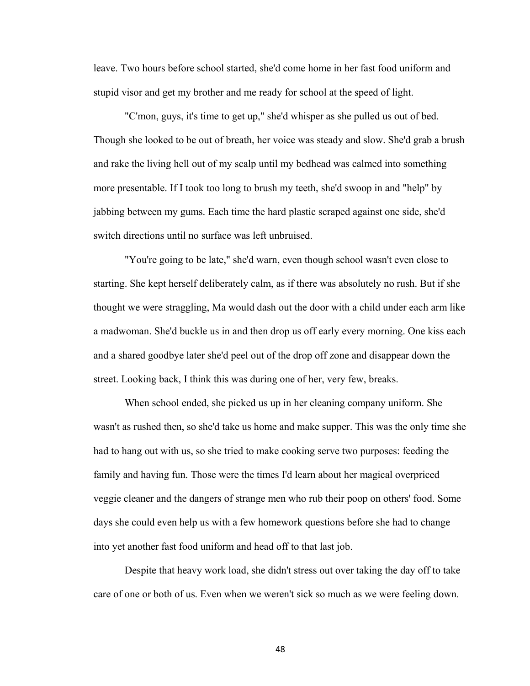leave. Two hours before school started, she'd come home in her fast food uniform and stupid visor and get my brother and me ready for school at the speed of light.

"C'mon, guys, it's time to get up," she'd whisper as she pulled us out of bed. Though she looked to be out of breath, her voice was steady and slow. She'd grab a brush and rake the living hell out of my scalp until my bedhead was calmed into something more presentable. If I took too long to brush my teeth, she'd swoop in and "help" by jabbing between my gums. Each time the hard plastic scraped against one side, she'd switch directions until no surface was left unbruised.

"You're going to be late," she'd warn, even though school wasn't even close to starting. She kept herself deliberately calm, as if there was absolutely no rush. But if she thought we were straggling, Ma would dash out the door with a child under each arm like a madwoman. She'd buckle us in and then drop us off early every morning. One kiss each and a shared goodbye later she'd peel out of the drop off zone and disappear down the street. Looking back, I think this was during one of her, very few, breaks.

When school ended, she picked us up in her cleaning company uniform. She wasn't as rushed then, so she'd take us home and make supper. This was the only time she had to hang out with us, so she tried to make cooking serve two purposes: feeding the family and having fun. Those were the times I'd learn about her magical overpriced veggie cleaner and the dangers of strange men who rub their poop on others' food. Some days she could even help us with a few homework questions before she had to change into yet another fast food uniform and head off to that last job.

Despite that heavy work load, she didn't stress out over taking the day off to take care of one or both of us. Even when we weren't sick so much as we were feeling down.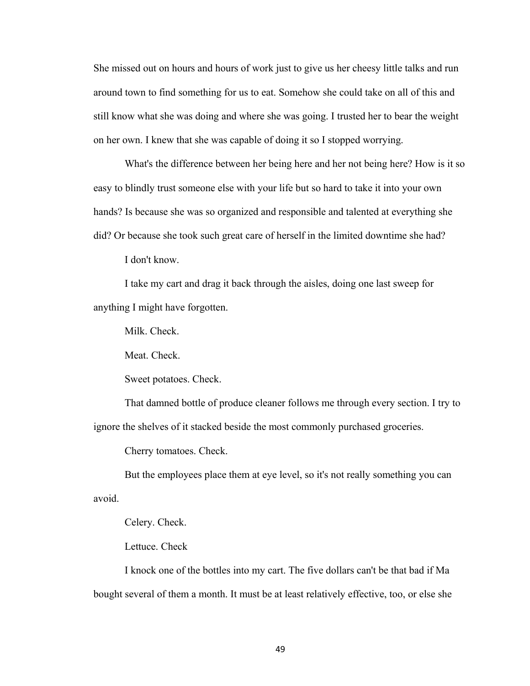She missed out on hours and hours of work just to give us her cheesy little talks and run around town to find something for us to eat. Somehow she could take on all of this and still know what she was doing and where she was going. I trusted her to bear the weight on her own. I knew that she was capable of doing it so I stopped worrying.

What's the difference between her being here and her not being here? How is it so easy to blindly trust someone else with your life but so hard to take it into your own hands? Is because she was so organized and responsible and talented at everything she did? Or because she took such great care of herself in the limited downtime she had?

I don't know.

I take my cart and drag it back through the aisles, doing one last sweep for anything I might have forgotten.

Milk. Check.

Meat. Check.

Sweet potatoes. Check.

That damned bottle of produce cleaner follows me through every section. I try to ignore the shelves of it stacked beside the most commonly purchased groceries.

Cherry tomatoes. Check.

But the employees place them at eye level, so it's not really something you can avoid.

Celery. Check.

Lettuce. Check

I knock one of the bottles into my cart. The five dollars can't be that bad if Ma bought several of them a month. It must be at least relatively effective, too, or else she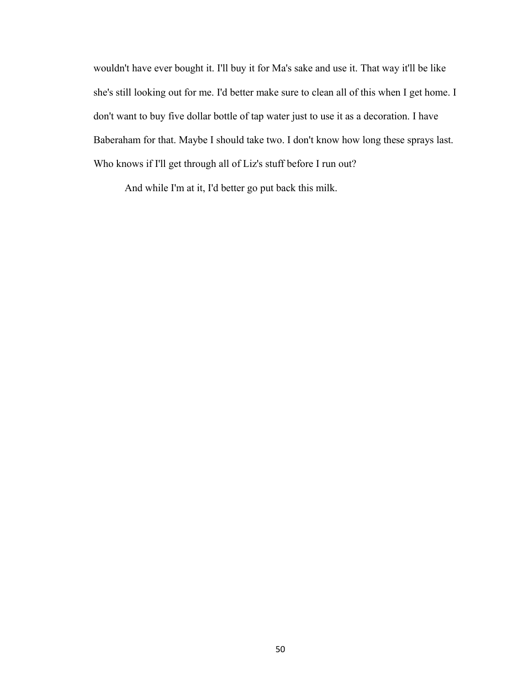wouldn't have ever bought it. I'll buy it for Ma's sake and use it. That way it'll be like she's still looking out for me. I'd better make sure to clean all of this when I get home. I don't want to buy five dollar bottle of tap water just to use it as a decoration. I have Baberaham for that. Maybe I should take two. I don't know how long these sprays last. Who knows if I'll get through all of Liz's stuff before I run out?

And while I'm at it, I'd better go put back this milk.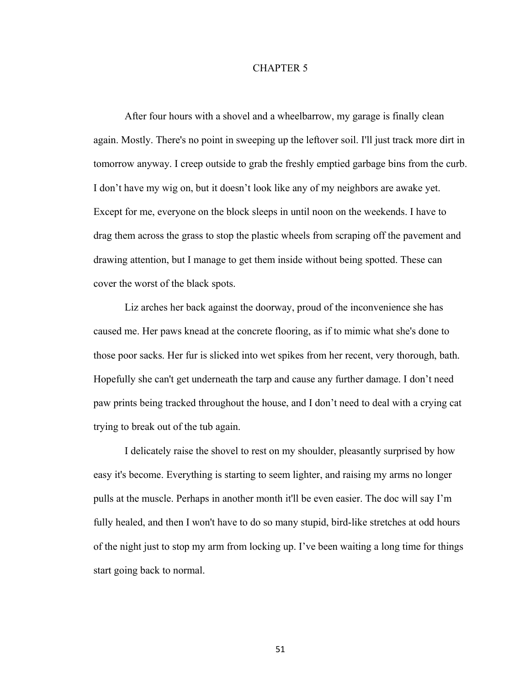## CHAPTER 5

After four hours with a shovel and a wheelbarrow, my garage is finally clean again. Mostly. There's no point in sweeping up the leftover soil. I'll just track more dirt in tomorrow anyway. I creep outside to grab the freshly emptied garbage bins from the curb. I don't have my wig on, but it doesn't look like any of my neighbors are awake yet. Except for me, everyone on the block sleeps in until noon on the weekends. I have to drag them across the grass to stop the plastic wheels from scraping off the pavement and drawing attention, but I manage to get them inside without being spotted. These can cover the worst of the black spots.

Liz arches her back against the doorway, proud of the inconvenience she has caused me. Her paws knead at the concrete flooring, as if to mimic what she's done to those poor sacks. Her fur is slicked into wet spikes from her recent, very thorough, bath. Hopefully she can't get underneath the tarp and cause any further damage. I don't need paw prints being tracked throughout the house, and I don't need to deal with a crying cat trying to break out of the tub again.

I delicately raise the shovel to rest on my shoulder, pleasantly surprised by how easy it's become. Everything is starting to seem lighter, and raising my arms no longer pulls at the muscle. Perhaps in another month it'll be even easier. The doc will say I'm fully healed, and then I won't have to do so many stupid, bird-like stretches at odd hours of the night just to stop my arm from locking up. I've been waiting a long time for things start going back to normal.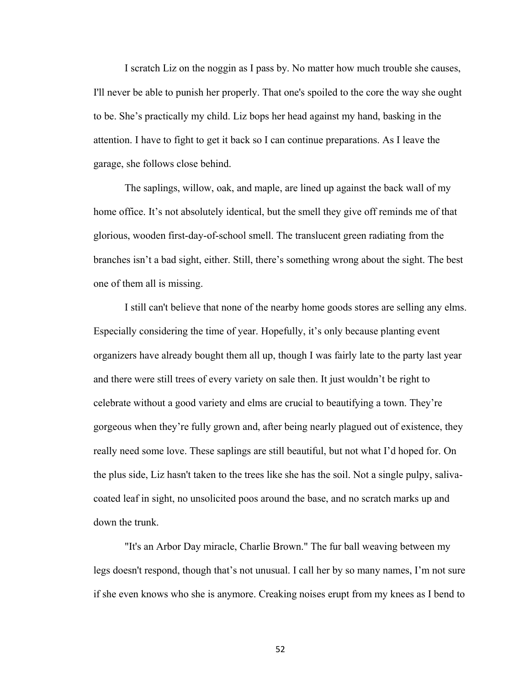I scratch Liz on the noggin as I pass by. No matter how much trouble she causes, I'll never be able to punish her properly. That one's spoiled to the core the way she ought to be. She's practically my child. Liz bops her head against my hand, basking in the attention. I have to fight to get it back so I can continue preparations. As I leave the garage, she follows close behind.

The saplings, willow, oak, and maple, are lined up against the back wall of my home office. It's not absolutely identical, but the smell they give off reminds me of that glorious, wooden first-day-of-school smell. The translucent green radiating from the branches isn't a bad sight, either. Still, there's something wrong about the sight. The best one of them all is missing.

I still can't believe that none of the nearby home goods stores are selling any elms. Especially considering the time of year. Hopefully, it's only because planting event organizers have already bought them all up, though I was fairly late to the party last year and there were still trees of every variety on sale then. It just wouldn't be right to celebrate without a good variety and elms are crucial to beautifying a town. They're gorgeous when they're fully grown and, after being nearly plagued out of existence, they really need some love. These saplings are still beautiful, but not what I'd hoped for. On the plus side, Liz hasn't taken to the trees like she has the soil. Not a single pulpy, salivacoated leaf in sight, no unsolicited poos around the base, and no scratch marks up and down the trunk.

"It's an Arbor Day miracle, Charlie Brown." The fur ball weaving between my legs doesn't respond, though that's not unusual. I call her by so many names, I'm not sure if she even knows who she is anymore. Creaking noises erupt from my knees as I bend to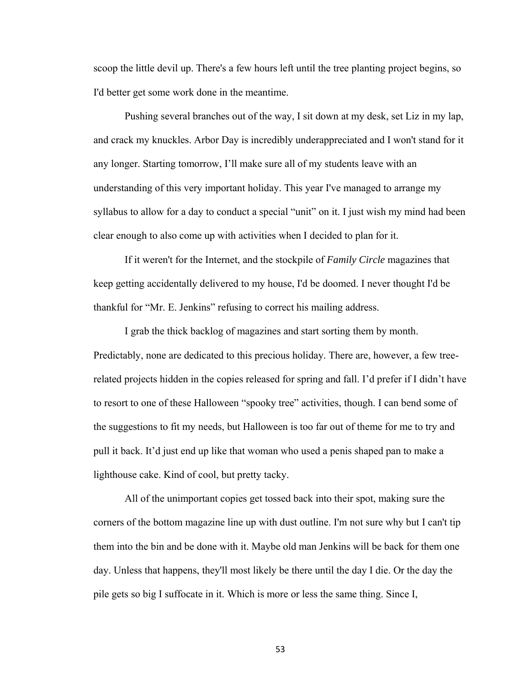scoop the little devil up. There's a few hours left until the tree planting project begins, so I'd better get some work done in the meantime.

Pushing several branches out of the way, I sit down at my desk, set Liz in my lap, and crack my knuckles. Arbor Day is incredibly underappreciated and I won't stand for it any longer. Starting tomorrow, I'll make sure all of my students leave with an understanding of this very important holiday. This year I've managed to arrange my syllabus to allow for a day to conduct a special "unit" on it. I just wish my mind had been clear enough to also come up with activities when I decided to plan for it.

If it weren't for the Internet, and the stockpile of *Family Circle* magazines that keep getting accidentally delivered to my house, I'd be doomed. I never thought I'd be thankful for "Mr. E. Jenkins" refusing to correct his mailing address.

I grab the thick backlog of magazines and start sorting them by month. Predictably, none are dedicated to this precious holiday. There are, however, a few treerelated projects hidden in the copies released for spring and fall. I'd prefer if I didn't have to resort to one of these Halloween "spooky tree" activities, though. I can bend some of the suggestions to fit my needs, but Halloween is too far out of theme for me to try and pull it back. It'd just end up like that woman who used a penis shaped pan to make a lighthouse cake. Kind of cool, but pretty tacky.

All of the unimportant copies get tossed back into their spot, making sure the corners of the bottom magazine line up with dust outline. I'm not sure why but I can't tip them into the bin and be done with it. Maybe old man Jenkins will be back for them one day. Unless that happens, they'll most likely be there until the day I die. Or the day the pile gets so big I suffocate in it. Which is more or less the same thing. Since I,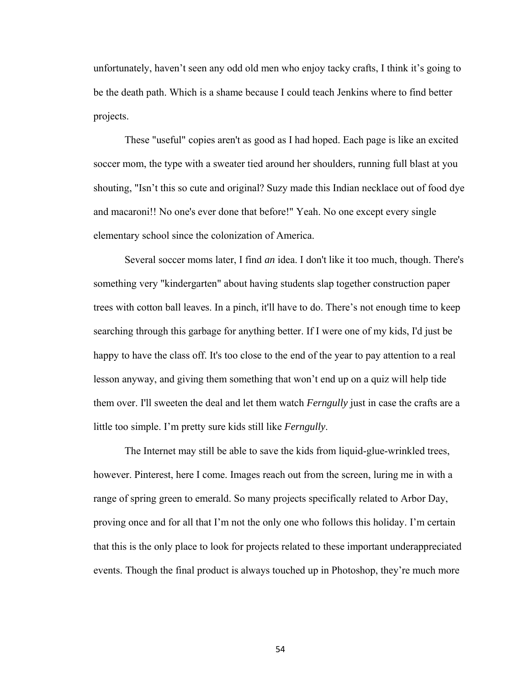unfortunately, haven't seen any odd old men who enjoy tacky crafts, I think it's going to be the death path. Which is a shame because I could teach Jenkins where to find better projects.

These "useful" copies aren't as good as I had hoped. Each page is like an excited soccer mom, the type with a sweater tied around her shoulders, running full blast at you shouting, "Isn't this so cute and original? Suzy made this Indian necklace out of food dye and macaroni!! No one's ever done that before!" Yeah. No one except every single elementary school since the colonization of America.

Several soccer moms later, I find *an* idea. I don't like it too much, though. There's something very "kindergarten" about having students slap together construction paper trees with cotton ball leaves. In a pinch, it'll have to do. There's not enough time to keep searching through this garbage for anything better. If I were one of my kids, I'd just be happy to have the class off. It's too close to the end of the year to pay attention to a real lesson anyway, and giving them something that won't end up on a quiz will help tide them over. I'll sweeten the deal and let them watch *Ferngully* just in case the crafts are a little too simple. I'm pretty sure kids still like *Ferngully*.

The Internet may still be able to save the kids from liquid-glue-wrinkled trees, however. Pinterest, here I come. Images reach out from the screen, luring me in with a range of spring green to emerald. So many projects specifically related to Arbor Day, proving once and for all that I'm not the only one who follows this holiday. I'm certain that this is the only place to look for projects related to these important underappreciated events. Though the final product is always touched up in Photoshop, they're much more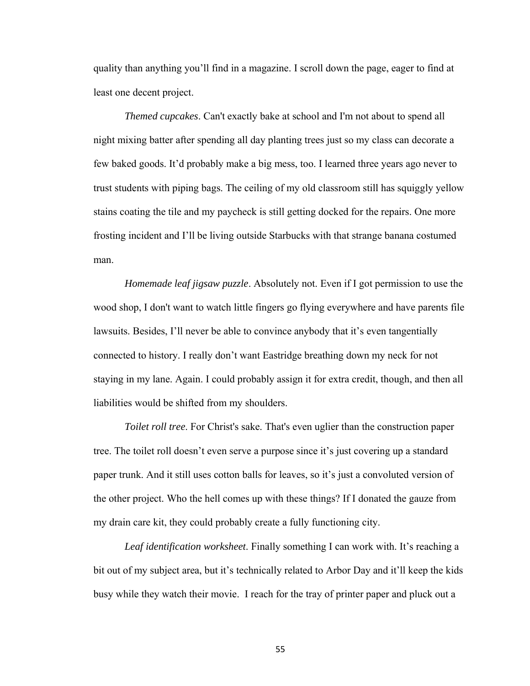quality than anything you'll find in a magazine. I scroll down the page, eager to find at least one decent project.

*Themed cupcakes*. Can't exactly bake at school and I'm not about to spend all night mixing batter after spending all day planting trees just so my class can decorate a few baked goods. It'd probably make a big mess, too. I learned three years ago never to trust students with piping bags. The ceiling of my old classroom still has squiggly yellow stains coating the tile and my paycheck is still getting docked for the repairs. One more frosting incident and I'll be living outside Starbucks with that strange banana costumed man.

*Homemade leaf jigsaw puzzle*. Absolutely not. Even if I got permission to use the wood shop, I don't want to watch little fingers go flying everywhere and have parents file lawsuits. Besides, I'll never be able to convince anybody that it's even tangentially connected to history. I really don't want Eastridge breathing down my neck for not staying in my lane. Again. I could probably assign it for extra credit, though, and then all liabilities would be shifted from my shoulders.

*Toilet roll tree*. For Christ's sake. That's even uglier than the construction paper tree. The toilet roll doesn't even serve a purpose since it's just covering up a standard paper trunk. And it still uses cotton balls for leaves, so it's just a convoluted version of the other project. Who the hell comes up with these things? If I donated the gauze from my drain care kit, they could probably create a fully functioning city.

*Leaf identification worksheet*. Finally something I can work with. It's reaching a bit out of my subject area, but it's technically related to Arbor Day and it'll keep the kids busy while they watch their movie. I reach for the tray of printer paper and pluck out a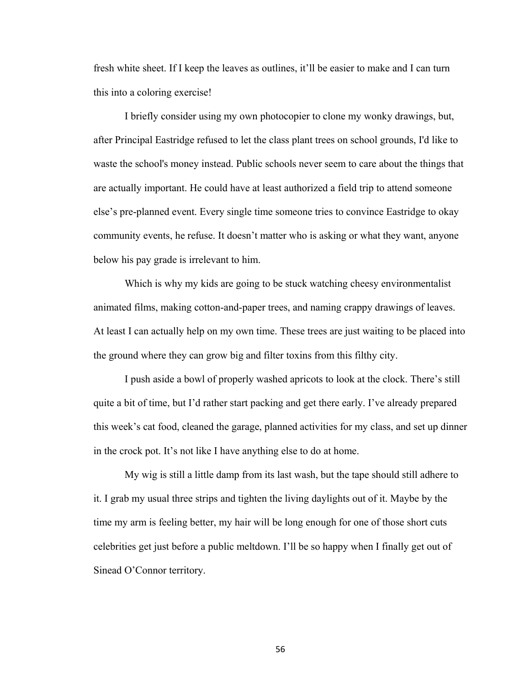fresh white sheet. If I keep the leaves as outlines, it'll be easier to make and I can turn this into a coloring exercise!

I briefly consider using my own photocopier to clone my wonky drawings, but, after Principal Eastridge refused to let the class plant trees on school grounds, I'd like to waste the school's money instead. Public schools never seem to care about the things that are actually important. He could have at least authorized a field trip to attend someone else's pre-planned event. Every single time someone tries to convince Eastridge to okay community events, he refuse. It doesn't matter who is asking or what they want, anyone below his pay grade is irrelevant to him.

Which is why my kids are going to be stuck watching cheesy environmentalist animated films, making cotton-and-paper trees, and naming crappy drawings of leaves. At least I can actually help on my own time. These trees are just waiting to be placed into the ground where they can grow big and filter toxins from this filthy city.

I push aside a bowl of properly washed apricots to look at the clock. There's still quite a bit of time, but I'd rather start packing and get there early. I've already prepared this week's cat food, cleaned the garage, planned activities for my class, and set up dinner in the crock pot. It's not like I have anything else to do at home.

My wig is still a little damp from its last wash, but the tape should still adhere to it. I grab my usual three strips and tighten the living daylights out of it. Maybe by the time my arm is feeling better, my hair will be long enough for one of those short cuts celebrities get just before a public meltdown. I'll be so happy when I finally get out of Sinead O'Connor territory.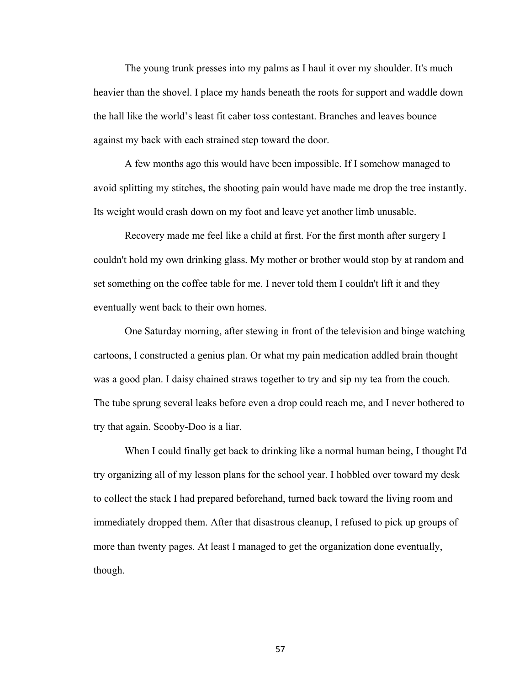The young trunk presses into my palms as I haul it over my shoulder. It's much heavier than the shovel. I place my hands beneath the roots for support and waddle down the hall like the world's least fit caber toss contestant. Branches and leaves bounce against my back with each strained step toward the door.

A few months ago this would have been impossible. If I somehow managed to avoid splitting my stitches, the shooting pain would have made me drop the tree instantly. Its weight would crash down on my foot and leave yet another limb unusable.

Recovery made me feel like a child at first. For the first month after surgery I couldn't hold my own drinking glass. My mother or brother would stop by at random and set something on the coffee table for me. I never told them I couldn't lift it and they eventually went back to their own homes.

One Saturday morning, after stewing in front of the television and binge watching cartoons, I constructed a genius plan. Or what my pain medication addled brain thought was a good plan. I daisy chained straws together to try and sip my tea from the couch. The tube sprung several leaks before even a drop could reach me, and I never bothered to try that again. Scooby-Doo is a liar.

When I could finally get back to drinking like a normal human being, I thought I'd try organizing all of my lesson plans for the school year. I hobbled over toward my desk to collect the stack I had prepared beforehand, turned back toward the living room and immediately dropped them. After that disastrous cleanup, I refused to pick up groups of more than twenty pages. At least I managed to get the organization done eventually, though.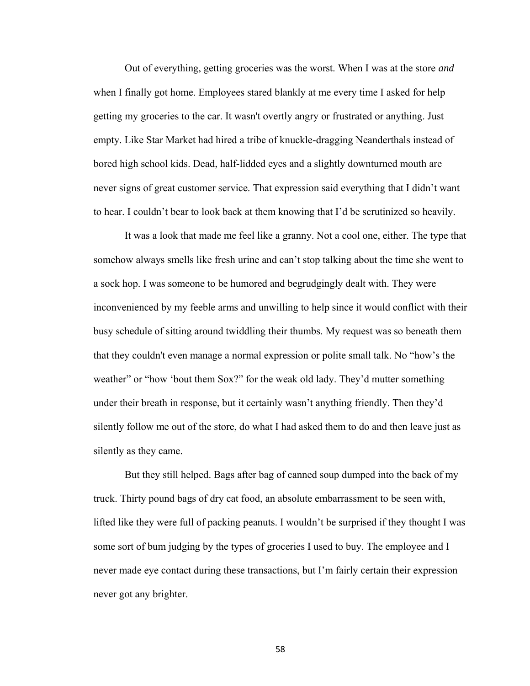Out of everything, getting groceries was the worst. When I was at the store *and*  when I finally got home. Employees stared blankly at me every time I asked for help getting my groceries to the car. It wasn't overtly angry or frustrated or anything. Just empty. Like Star Market had hired a tribe of knuckle-dragging Neanderthals instead of bored high school kids. Dead, half-lidded eyes and a slightly downturned mouth are never signs of great customer service. That expression said everything that I didn't want to hear. I couldn't bear to look back at them knowing that I'd be scrutinized so heavily.

It was a look that made me feel like a granny. Not a cool one, either. The type that somehow always smells like fresh urine and can't stop talking about the time she went to a sock hop. I was someone to be humored and begrudgingly dealt with. They were inconvenienced by my feeble arms and unwilling to help since it would conflict with their busy schedule of sitting around twiddling their thumbs. My request was so beneath them that they couldn't even manage a normal expression or polite small talk. No "how's the weather" or "how 'bout them Sox?" for the weak old lady. They'd mutter something under their breath in response, but it certainly wasn't anything friendly. Then they'd silently follow me out of the store, do what I had asked them to do and then leave just as silently as they came.

But they still helped. Bags after bag of canned soup dumped into the back of my truck. Thirty pound bags of dry cat food, an absolute embarrassment to be seen with, lifted like they were full of packing peanuts. I wouldn't be surprised if they thought I was some sort of bum judging by the types of groceries I used to buy. The employee and I never made eye contact during these transactions, but I'm fairly certain their expression never got any brighter.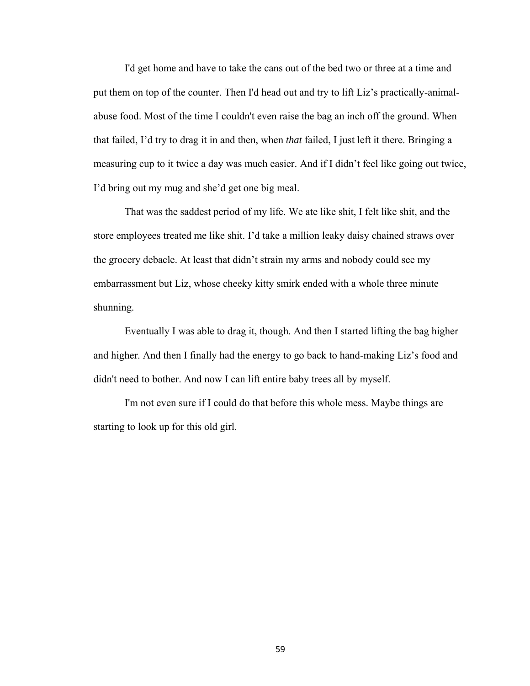I'd get home and have to take the cans out of the bed two or three at a time and put them on top of the counter. Then I'd head out and try to lift Liz's practically-animalabuse food. Most of the time I couldn't even raise the bag an inch off the ground. When that failed, I'd try to drag it in and then, when *that* failed, I just left it there. Bringing a measuring cup to it twice a day was much easier. And if I didn't feel like going out twice, I'd bring out my mug and she'd get one big meal.

That was the saddest period of my life. We ate like shit, I felt like shit, and the store employees treated me like shit. I'd take a million leaky daisy chained straws over the grocery debacle. At least that didn't strain my arms and nobody could see my embarrassment but Liz, whose cheeky kitty smirk ended with a whole three minute shunning.

Eventually I was able to drag it, though. And then I started lifting the bag higher and higher. And then I finally had the energy to go back to hand-making Liz's food and didn't need to bother. And now I can lift entire baby trees all by myself.

I'm not even sure if I could do that before this whole mess. Maybe things are starting to look up for this old girl.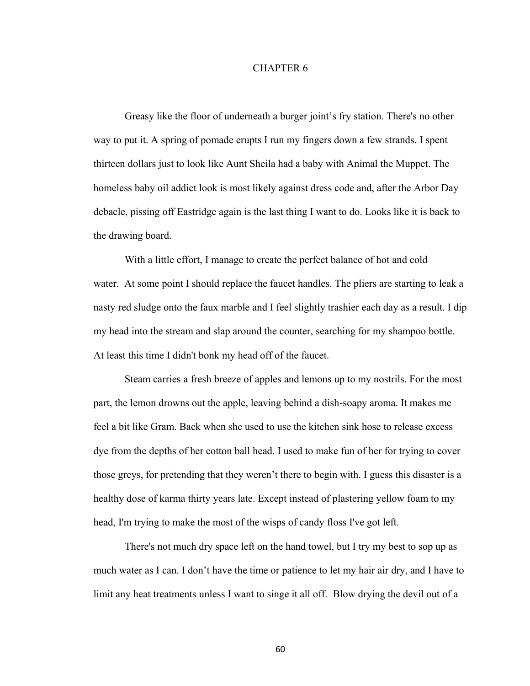## CHAPTER 6

Greasy like the floor of underneath a burger joint's fry station. There's no other way to put it. A spring of pomade erupts I run my fingers down a few strands. I spent thirteen dollars just to look like Aunt Sheila had a baby with Animal the Muppet. The homeless baby oil addict look is most likely against dress code and, after the Arbor Day debacle, pissing off Eastridge again is the last thing I want to do. Looks like it is back to the drawing board.

With a little effort, I manage to create the perfect balance of hot and cold water. At some point I should replace the faucet handles. The pliers are starting to leak a nasty red sludge onto the faux marble and I feel slightly trashier each day as a result. I dip my head into the stream and slap around the counter, searching for my shampoo bottle. At least this time I didn't bonk my head off of the faucet.

Steam carries a fresh breeze of apples and lemons up to my nostrils. For the most part, the lemon drowns out the apple, leaving behind a dish-soapy aroma. It makes me feel a bit like Gram. Back when she used to use the kitchen sink hose to release excess dye from the depths of her cotton ball head. I used to make fun of her for trying to cover those greys, for pretending that they weren't there to begin with. I guess this disaster is a healthy dose of karma thirty years late. Except instead of plastering yellow foam to my head, I'm trying to make the most of the wisps of candy floss I've got left.

There's not much dry space left on the hand towel, but I try my best to sop up as much water as I can. I don't have the time or patience to let my hair air dry, and I have to limit any heat treatments unless I want to singe it all off. Blow drying the devil out of a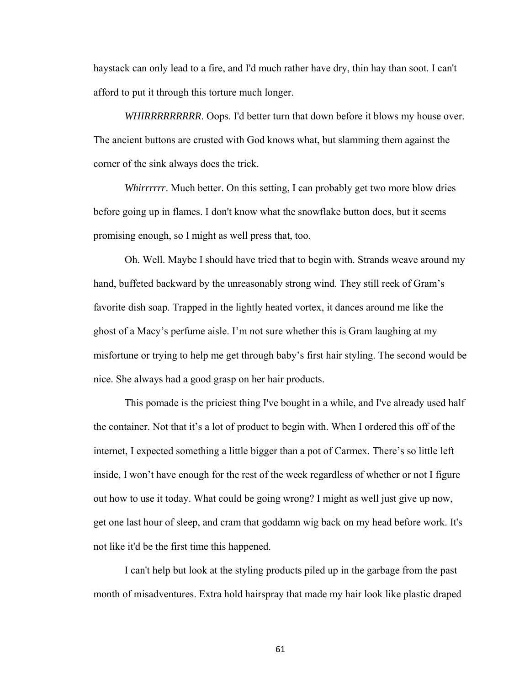haystack can only lead to a fire, and I'd much rather have dry, thin hay than soot. I can't afford to put it through this torture much longer.

*WHIRRRRRRRRR*. Oops. I'd better turn that down before it blows my house over. The ancient buttons are crusted with God knows what, but slamming them against the corner of the sink always does the trick.

*Whirrrrrr*. Much better. On this setting, I can probably get two more blow dries before going up in flames. I don't know what the snowflake button does, but it seems promising enough, so I might as well press that, too.

Oh. Well. Maybe I should have tried that to begin with. Strands weave around my hand, buffeted backward by the unreasonably strong wind. They still reek of Gram's favorite dish soap. Trapped in the lightly heated vortex, it dances around me like the ghost of a Macy's perfume aisle. I'm not sure whether this is Gram laughing at my misfortune or trying to help me get through baby's first hair styling. The second would be nice. She always had a good grasp on her hair products.

This pomade is the priciest thing I've bought in a while, and I've already used half the container. Not that it's a lot of product to begin with. When I ordered this off of the internet, I expected something a little bigger than a pot of Carmex. There's so little left inside, I won't have enough for the rest of the week regardless of whether or not I figure out how to use it today. What could be going wrong? I might as well just give up now, get one last hour of sleep, and cram that goddamn wig back on my head before work. It's not like it'd be the first time this happened.

I can't help but look at the styling products piled up in the garbage from the past month of misadventures. Extra hold hairspray that made my hair look like plastic draped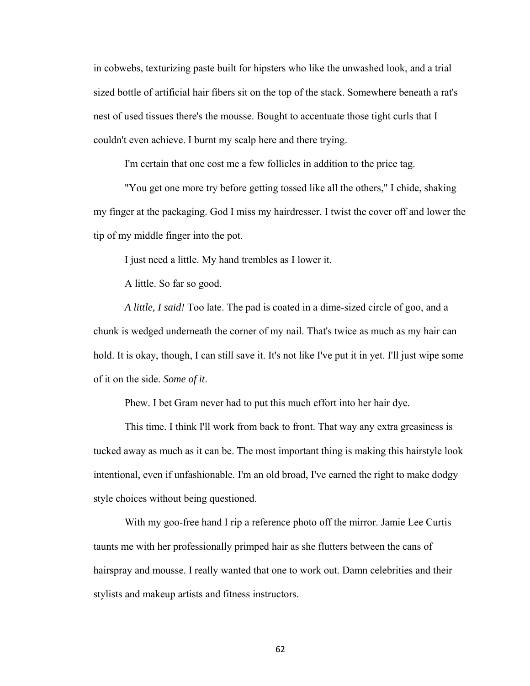in cobwebs, texturizing paste built for hipsters who like the unwashed look, and a trial sized bottle of artificial hair fibers sit on the top of the stack. Somewhere beneath a rat's nest of used tissues there's the mousse. Bought to accentuate those tight curls that I couldn't even achieve. I burnt my scalp here and there trying.

I'm certain that one cost me a few follicles in addition to the price tag.

"You get one more try before getting tossed like all the others," I chide, shaking my finger at the packaging. God I miss my hairdresser. I twist the cover off and lower the tip of my middle finger into the pot.

I just need a little. My hand trembles as I lower it.

A little. So far so good.

*A little, I said!* Too late. The pad is coated in a dime-sized circle of goo, and a chunk is wedged underneath the corner of my nail. That's twice as much as my hair can hold. It is okay, though, I can still save it. It's not like I've put it in yet. I'll just wipe some of it on the side. *Some of it*.

Phew. I bet Gram never had to put this much effort into her hair dye.

This time. I think I'll work from back to front. That way any extra greasiness is tucked away as much as it can be. The most important thing is making this hairstyle look intentional, even if unfashionable. I'm an old broad, I've earned the right to make dodgy style choices without being questioned.

With my goo-free hand I rip a reference photo off the mirror. Jamie Lee Curtis taunts me with her professionally primped hair as she flutters between the cans of hairspray and mousse. I really wanted that one to work out. Damn celebrities and their stylists and makeup artists and fitness instructors.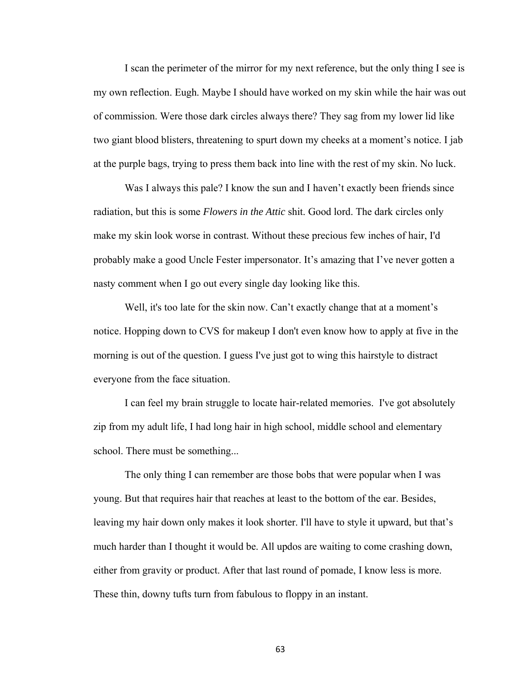I scan the perimeter of the mirror for my next reference, but the only thing I see is my own reflection. Eugh. Maybe I should have worked on my skin while the hair was out of commission. Were those dark circles always there? They sag from my lower lid like two giant blood blisters, threatening to spurt down my cheeks at a moment's notice. I jab at the purple bags, trying to press them back into line with the rest of my skin. No luck.

Was I always this pale? I know the sun and I haven't exactly been friends since radiation, but this is some *Flowers in the Attic* shit. Good lord. The dark circles only make my skin look worse in contrast. Without these precious few inches of hair, I'd probably make a good Uncle Fester impersonator. It's amazing that I've never gotten a nasty comment when I go out every single day looking like this.

Well, it's too late for the skin now. Can't exactly change that at a moment's notice. Hopping down to CVS for makeup I don't even know how to apply at five in the morning is out of the question. I guess I've just got to wing this hairstyle to distract everyone from the face situation.

I can feel my brain struggle to locate hair-related memories. I've got absolutely zip from my adult life, I had long hair in high school, middle school and elementary school. There must be something...

The only thing I can remember are those bobs that were popular when I was young. But that requires hair that reaches at least to the bottom of the ear. Besides, leaving my hair down only makes it look shorter. I'll have to style it upward, but that's much harder than I thought it would be. All updos are waiting to come crashing down, either from gravity or product. After that last round of pomade, I know less is more. These thin, downy tufts turn from fabulous to floppy in an instant.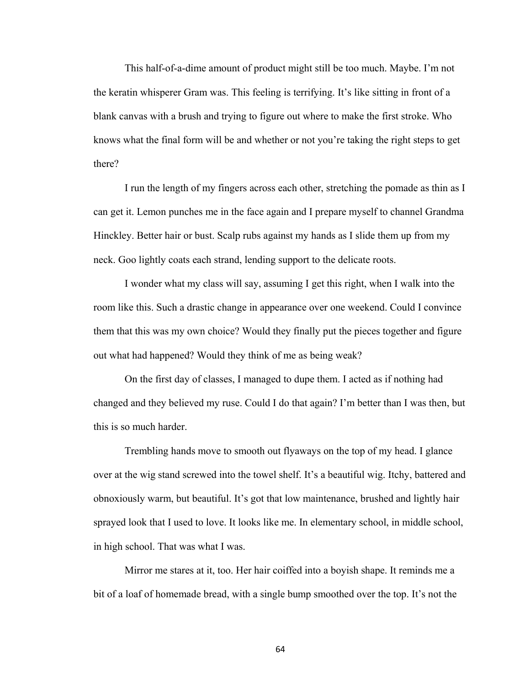This half-of-a-dime amount of product might still be too much. Maybe. I'm not the keratin whisperer Gram was. This feeling is terrifying. It's like sitting in front of a blank canvas with a brush and trying to figure out where to make the first stroke. Who knows what the final form will be and whether or not you're taking the right steps to get there?

I run the length of my fingers across each other, stretching the pomade as thin as I can get it. Lemon punches me in the face again and I prepare myself to channel Grandma Hinckley. Better hair or bust. Scalp rubs against my hands as I slide them up from my neck. Goo lightly coats each strand, lending support to the delicate roots.

I wonder what my class will say, assuming I get this right, when I walk into the room like this. Such a drastic change in appearance over one weekend. Could I convince them that this was my own choice? Would they finally put the pieces together and figure out what had happened? Would they think of me as being weak?

On the first day of classes, I managed to dupe them. I acted as if nothing had changed and they believed my ruse. Could I do that again? I'm better than I was then, but this is so much harder.

Trembling hands move to smooth out flyaways on the top of my head. I glance over at the wig stand screwed into the towel shelf. It's a beautiful wig. Itchy, battered and obnoxiously warm, but beautiful. It's got that low maintenance, brushed and lightly hair sprayed look that I used to love. It looks like me. In elementary school, in middle school, in high school. That was what I was.

Mirror me stares at it, too. Her hair coiffed into a boyish shape. It reminds me a bit of a loaf of homemade bread, with a single bump smoothed over the top. It's not the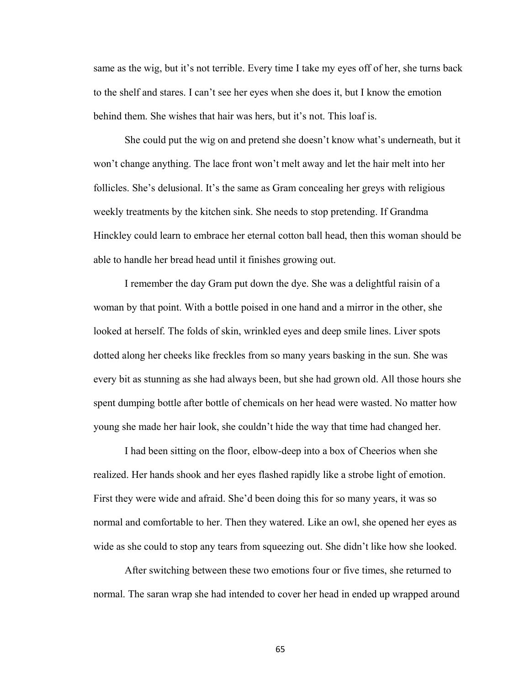same as the wig, but it's not terrible. Every time I take my eyes off of her, she turns back to the shelf and stares. I can't see her eyes when she does it, but I know the emotion behind them. She wishes that hair was hers, but it's not. This loaf is.

She could put the wig on and pretend she doesn't know what's underneath, but it won't change anything. The lace front won't melt away and let the hair melt into her follicles. She's delusional. It's the same as Gram concealing her greys with religious weekly treatments by the kitchen sink. She needs to stop pretending. If Grandma Hinckley could learn to embrace her eternal cotton ball head, then this woman should be able to handle her bread head until it finishes growing out.

I remember the day Gram put down the dye. She was a delightful raisin of a woman by that point. With a bottle poised in one hand and a mirror in the other, she looked at herself. The folds of skin, wrinkled eyes and deep smile lines. Liver spots dotted along her cheeks like freckles from so many years basking in the sun. She was every bit as stunning as she had always been, but she had grown old. All those hours she spent dumping bottle after bottle of chemicals on her head were wasted. No matter how young she made her hair look, she couldn't hide the way that time had changed her.

I had been sitting on the floor, elbow-deep into a box of Cheerios when she realized. Her hands shook and her eyes flashed rapidly like a strobe light of emotion. First they were wide and afraid. She'd been doing this for so many years, it was so normal and comfortable to her. Then they watered. Like an owl, she opened her eyes as wide as she could to stop any tears from squeezing out. She didn't like how she looked.

After switching between these two emotions four or five times, she returned to normal. The saran wrap she had intended to cover her head in ended up wrapped around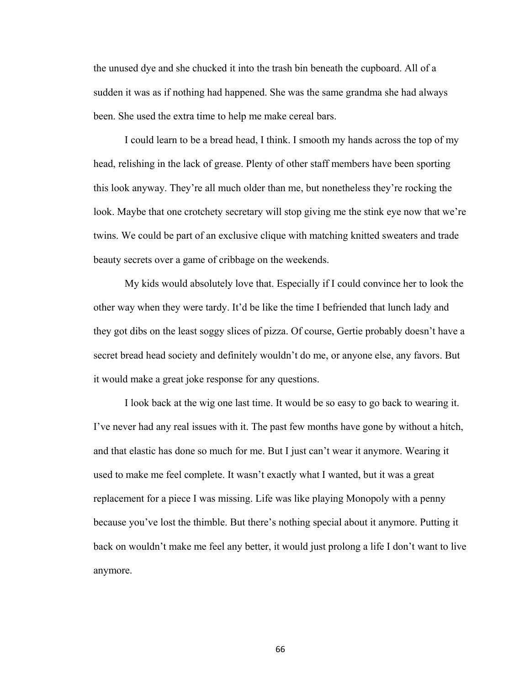the unused dye and she chucked it into the trash bin beneath the cupboard. All of a sudden it was as if nothing had happened. She was the same grandma she had always been. She used the extra time to help me make cereal bars.

I could learn to be a bread head, I think. I smooth my hands across the top of my head, relishing in the lack of grease. Plenty of other staff members have been sporting this look anyway. They're all much older than me, but nonetheless they're rocking the look. Maybe that one crotchety secretary will stop giving me the stink eye now that we're twins. We could be part of an exclusive clique with matching knitted sweaters and trade beauty secrets over a game of cribbage on the weekends.

My kids would absolutely love that. Especially if I could convince her to look the other way when they were tardy. It'd be like the time I befriended that lunch lady and they got dibs on the least soggy slices of pizza. Of course, Gertie probably doesn't have a secret bread head society and definitely wouldn't do me, or anyone else, any favors. But it would make a great joke response for any questions.

I look back at the wig one last time. It would be so easy to go back to wearing it. I've never had any real issues with it. The past few months have gone by without a hitch, and that elastic has done so much for me. But I just can't wear it anymore. Wearing it used to make me feel complete. It wasn't exactly what I wanted, but it was a great replacement for a piece I was missing. Life was like playing Monopoly with a penny because you've lost the thimble. But there's nothing special about it anymore. Putting it back on wouldn't make me feel any better, it would just prolong a life I don't want to live anymore.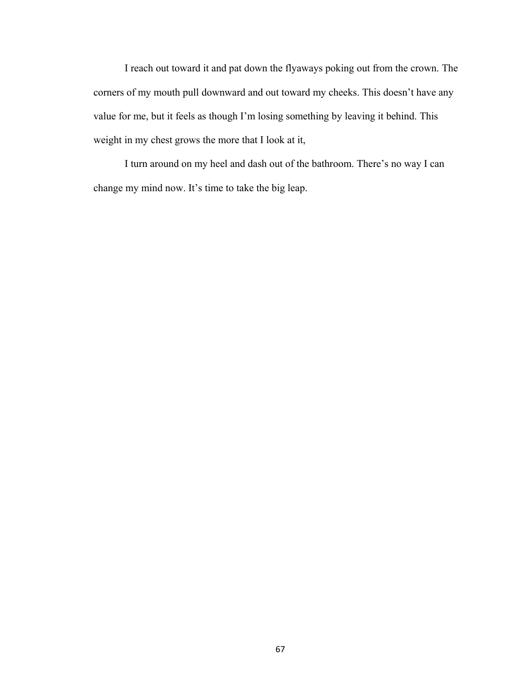I reach out toward it and pat down the flyaways poking out from the crown. The corners of my mouth pull downward and out toward my cheeks. This doesn't have any value for me, but it feels as though I'm losing something by leaving it behind. This weight in my chest grows the more that I look at it,

I turn around on my heel and dash out of the bathroom. There's no way I can change my mind now. It's time to take the big leap.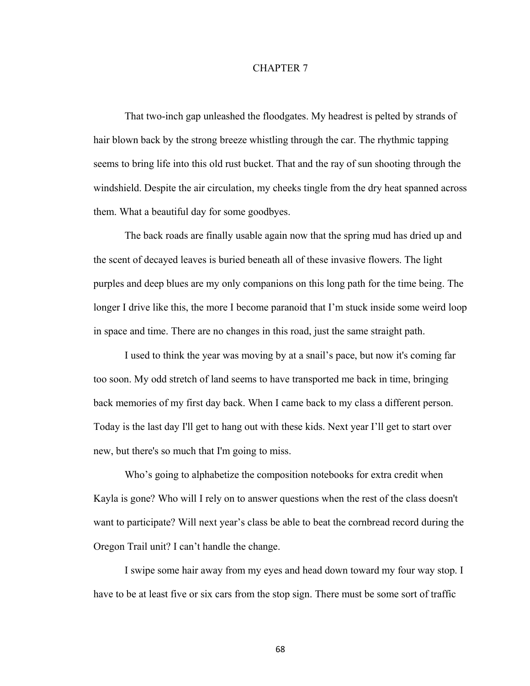## CHAPTER 7

That two-inch gap unleashed the floodgates. My headrest is pelted by strands of hair blown back by the strong breeze whistling through the car. The rhythmic tapping seems to bring life into this old rust bucket. That and the ray of sun shooting through the windshield. Despite the air circulation, my cheeks tingle from the dry heat spanned across them. What a beautiful day for some goodbyes.

The back roads are finally usable again now that the spring mud has dried up and the scent of decayed leaves is buried beneath all of these invasive flowers. The light purples and deep blues are my only companions on this long path for the time being. The longer I drive like this, the more I become paranoid that I'm stuck inside some weird loop in space and time. There are no changes in this road, just the same straight path.

I used to think the year was moving by at a snail's pace, but now it's coming far too soon. My odd stretch of land seems to have transported me back in time, bringing back memories of my first day back. When I came back to my class a different person. Today is the last day I'll get to hang out with these kids. Next year I'll get to start over new, but there's so much that I'm going to miss.

Who's going to alphabetize the composition notebooks for extra credit when Kayla is gone? Who will I rely on to answer questions when the rest of the class doesn't want to participate? Will next year's class be able to beat the cornbread record during the Oregon Trail unit? I can't handle the change.

I swipe some hair away from my eyes and head down toward my four way stop. I have to be at least five or six cars from the stop sign. There must be some sort of traffic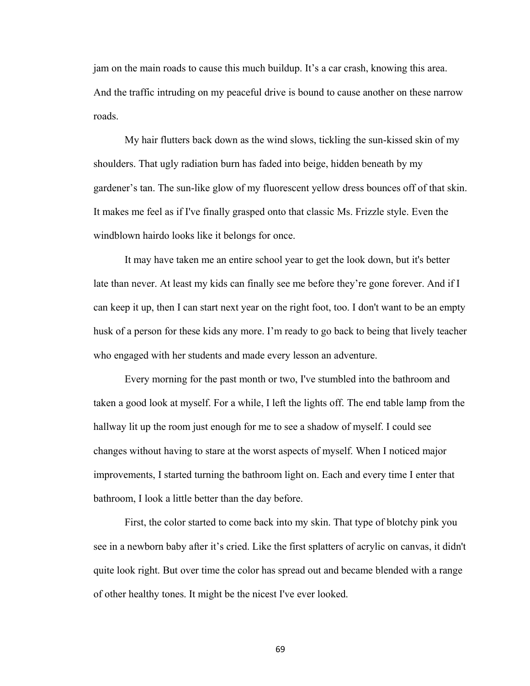jam on the main roads to cause this much buildup. It's a car crash, knowing this area. And the traffic intruding on my peaceful drive is bound to cause another on these narrow roads.

My hair flutters back down as the wind slows, tickling the sun-kissed skin of my shoulders. That ugly radiation burn has faded into beige, hidden beneath by my gardener's tan. The sun-like glow of my fluorescent yellow dress bounces off of that skin. It makes me feel as if I've finally grasped onto that classic Ms. Frizzle style. Even the windblown hairdo looks like it belongs for once.

It may have taken me an entire school year to get the look down, but it's better late than never. At least my kids can finally see me before they're gone forever. And if I can keep it up, then I can start next year on the right foot, too. I don't want to be an empty husk of a person for these kids any more. I'm ready to go back to being that lively teacher who engaged with her students and made every lesson an adventure.

Every morning for the past month or two, I've stumbled into the bathroom and taken a good look at myself. For a while, I left the lights off. The end table lamp from the hallway lit up the room just enough for me to see a shadow of myself. I could see changes without having to stare at the worst aspects of myself. When I noticed major improvements, I started turning the bathroom light on. Each and every time I enter that bathroom, I look a little better than the day before.

First, the color started to come back into my skin. That type of blotchy pink you see in a newborn baby after it's cried. Like the first splatters of acrylic on canvas, it didn't quite look right. But over time the color has spread out and became blended with a range of other healthy tones. It might be the nicest I've ever looked.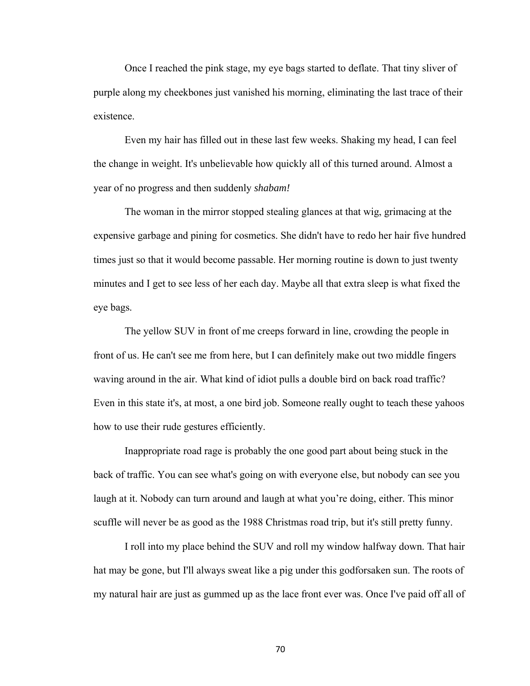Once I reached the pink stage, my eye bags started to deflate. That tiny sliver of purple along my cheekbones just vanished his morning, eliminating the last trace of their existence.

Even my hair has filled out in these last few weeks. Shaking my head, I can feel the change in weight. It's unbelievable how quickly all of this turned around. Almost a year of no progress and then suddenly *shabam!* 

The woman in the mirror stopped stealing glances at that wig, grimacing at the expensive garbage and pining for cosmetics. She didn't have to redo her hair five hundred times just so that it would become passable. Her morning routine is down to just twenty minutes and I get to see less of her each day. Maybe all that extra sleep is what fixed the eye bags.

The yellow SUV in front of me creeps forward in line, crowding the people in front of us. He can't see me from here, but I can definitely make out two middle fingers waving around in the air. What kind of idiot pulls a double bird on back road traffic? Even in this state it's, at most, a one bird job. Someone really ought to teach these yahoos how to use their rude gestures efficiently.

Inappropriate road rage is probably the one good part about being stuck in the back of traffic. You can see what's going on with everyone else, but nobody can see you laugh at it. Nobody can turn around and laugh at what you're doing, either. This minor scuffle will never be as good as the 1988 Christmas road trip, but it's still pretty funny.

I roll into my place behind the SUV and roll my window halfway down. That hair hat may be gone, but I'll always sweat like a pig under this godforsaken sun. The roots of my natural hair are just as gummed up as the lace front ever was. Once I've paid off all of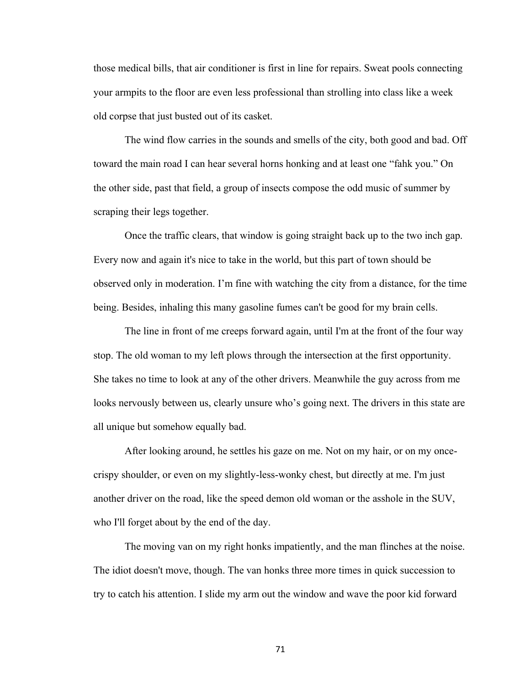those medical bills, that air conditioner is first in line for repairs. Sweat pools connecting your armpits to the floor are even less professional than strolling into class like a week old corpse that just busted out of its casket.

The wind flow carries in the sounds and smells of the city, both good and bad. Off toward the main road I can hear several horns honking and at least one "fahk you." On the other side, past that field, a group of insects compose the odd music of summer by scraping their legs together.

Once the traffic clears, that window is going straight back up to the two inch gap. Every now and again it's nice to take in the world, but this part of town should be observed only in moderation. I'm fine with watching the city from a distance, for the time being. Besides, inhaling this many gasoline fumes can't be good for my brain cells.

The line in front of me creeps forward again, until I'm at the front of the four way stop. The old woman to my left plows through the intersection at the first opportunity. She takes no time to look at any of the other drivers. Meanwhile the guy across from me looks nervously between us, clearly unsure who's going next. The drivers in this state are all unique but somehow equally bad.

After looking around, he settles his gaze on me. Not on my hair, or on my oncecrispy shoulder, or even on my slightly-less-wonky chest, but directly at me. I'm just another driver on the road, like the speed demon old woman or the asshole in the SUV, who I'll forget about by the end of the day.

The moving van on my right honks impatiently, and the man flinches at the noise. The idiot doesn't move, though. The van honks three more times in quick succession to try to catch his attention. I slide my arm out the window and wave the poor kid forward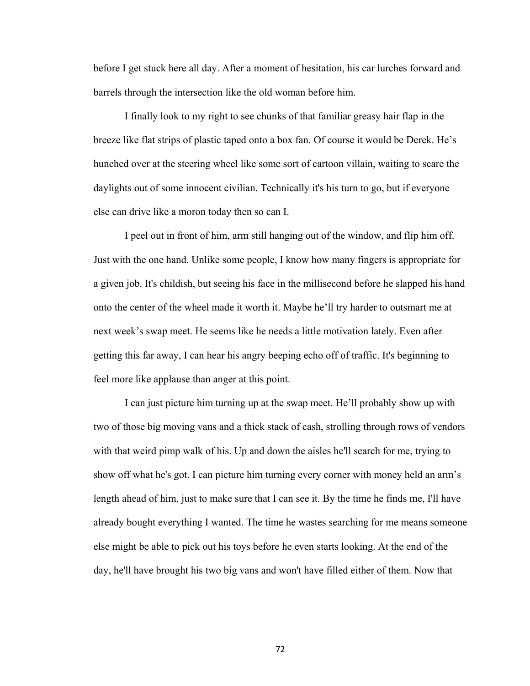before I get stuck here all day. After a moment of hesitation, his car lurches forward and barrels through the intersection like the old woman before him.

I finally look to my right to see chunks of that familiar greasy hair flap in the breeze like flat strips of plastic taped onto a box fan. Of course it would be Derek. He's hunched over at the steering wheel like some sort of cartoon villain, waiting to scare the daylights out of some innocent civilian. Technically it's his turn to go, but if everyone else can drive like a moron today then so can I.

I peel out in front of him, arm still hanging out of the window, and flip him off. Just with the one hand. Unlike some people, I know how many fingers is appropriate for a given job. It's childish, but seeing his face in the millisecond before he slapped his hand onto the center of the wheel made it worth it. Maybe he'll try harder to outsmart me at next week's swap meet. He seems like he needs a little motivation lately. Even after getting this far away, I can hear his angry beeping echo off of traffic. It's beginning to feel more like applause than anger at this point.

I can just picture him turning up at the swap meet. He'll probably show up with two of those big moving vans and a thick stack of cash, strolling through rows of vendors with that weird pimp walk of his. Up and down the aisles he'll search for me, trying to show off what he's got. I can picture him turning every corner with money held an arm's length ahead of him, just to make sure that I can see it. By the time he finds me, I'll have already bought everything I wanted. The time he wastes searching for me means someone else might be able to pick out his toys before he even starts looking. At the end of the day, he'll have brought his two big vans and won't have filled either of them. Now that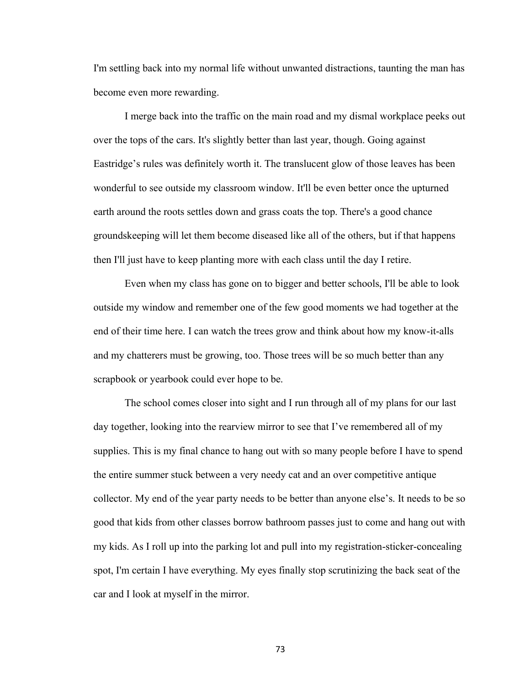I'm settling back into my normal life without unwanted distractions, taunting the man has become even more rewarding.

I merge back into the traffic on the main road and my dismal workplace peeks out over the tops of the cars. It's slightly better than last year, though. Going against Eastridge's rules was definitely worth it. The translucent glow of those leaves has been wonderful to see outside my classroom window. It'll be even better once the upturned earth around the roots settles down and grass coats the top. There's a good chance groundskeeping will let them become diseased like all of the others, but if that happens then I'll just have to keep planting more with each class until the day I retire.

Even when my class has gone on to bigger and better schools, I'll be able to look outside my window and remember one of the few good moments we had together at the end of their time here. I can watch the trees grow and think about how my know-it-alls and my chatterers must be growing, too. Those trees will be so much better than any scrapbook or yearbook could ever hope to be.

The school comes closer into sight and I run through all of my plans for our last day together, looking into the rearview mirror to see that I've remembered all of my supplies. This is my final chance to hang out with so many people before I have to spend the entire summer stuck between a very needy cat and an over competitive antique collector. My end of the year party needs to be better than anyone else's. It needs to be so good that kids from other classes borrow bathroom passes just to come and hang out with my kids. As I roll up into the parking lot and pull into my registration-sticker-concealing spot, I'm certain I have everything. My eyes finally stop scrutinizing the back seat of the car and I look at myself in the mirror.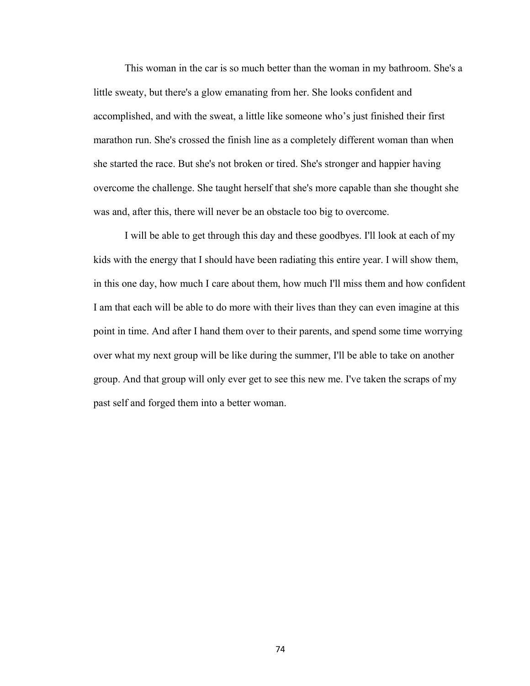This woman in the car is so much better than the woman in my bathroom. She's a little sweaty, but there's a glow emanating from her. She looks confident and accomplished, and with the sweat, a little like someone who's just finished their first marathon run. She's crossed the finish line as a completely different woman than when she started the race. But she's not broken or tired. She's stronger and happier having overcome the challenge. She taught herself that she's more capable than she thought she was and, after this, there will never be an obstacle too big to overcome.

I will be able to get through this day and these goodbyes. I'll look at each of my kids with the energy that I should have been radiating this entire year. I will show them, in this one day, how much I care about them, how much I'll miss them and how confident I am that each will be able to do more with their lives than they can even imagine at this point in time. And after I hand them over to their parents, and spend some time worrying over what my next group will be like during the summer, I'll be able to take on another group. And that group will only ever get to see this new me. I've taken the scraps of my past self and forged them into a better woman.